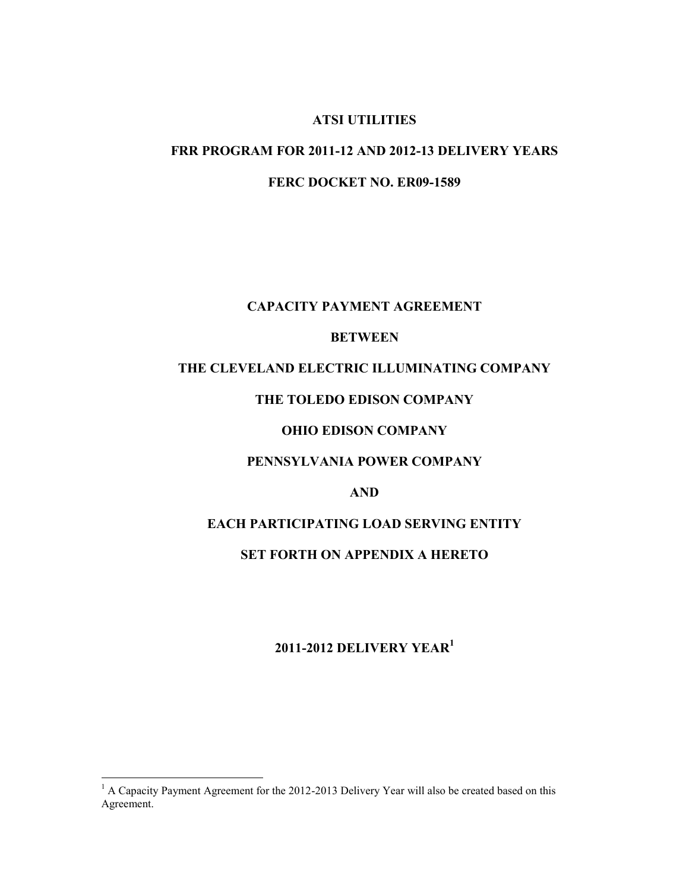## **ATSI UTILITIES**

# **FRR PROGRAM FOR 2011-12 AND 2012-13 DELIVERY YEARS**

**FERC DOCKET NO. ER09-1589** 

## **CAPACITY PAYMENT AGREEMENT**

## **BETWEEN**

## **THE CLEVELAND ELECTRIC ILLUMINATING COMPANY**

## **THE TOLEDO EDISON COMPANY**

#### **OHIO EDISON COMPANY**

## **PENNSYLVANIA POWER COMPANY**

## **AND**

# **EACH PARTICIPATING LOAD SERVING ENTITY**

## **SET FORTH ON APPENDIX A HERETO**

# **2011-2012 DELIVERY YEAR<sup>1</sup>**

<sup>&</sup>lt;sup>1</sup> A Capacity Payment Agreement for the 2012-2013 Delivery Year will also be created based on this Agreement.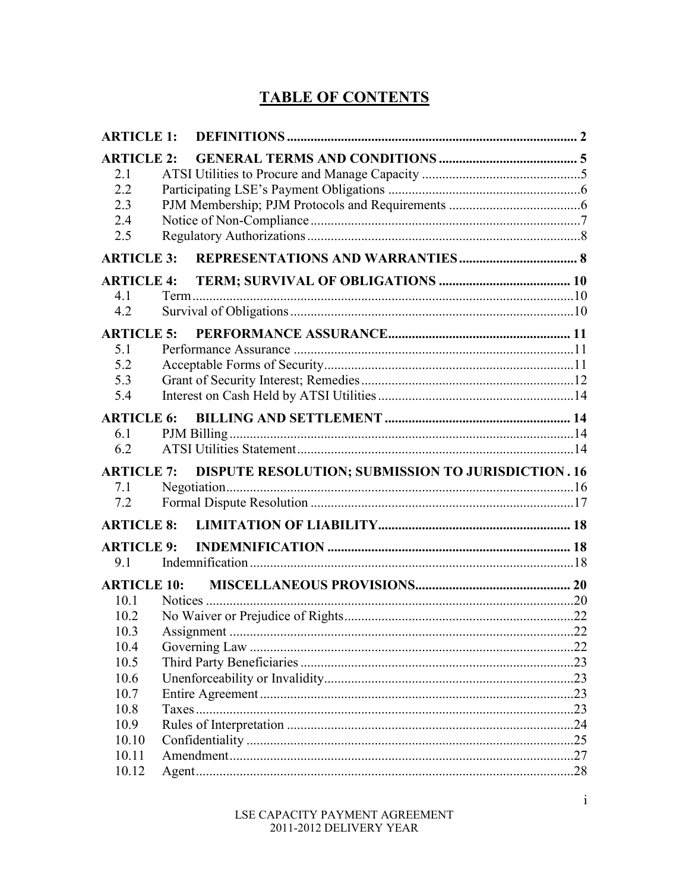# **TABLE OF CONTENTS**

| <b>ARTICLE 1:</b>  |  |                                                           |  |
|--------------------|--|-----------------------------------------------------------|--|
| <b>ARTICLE 2:</b>  |  |                                                           |  |
| 2.1                |  |                                                           |  |
| 2.2                |  |                                                           |  |
| 2.3                |  |                                                           |  |
| 2.4                |  |                                                           |  |
| 2.5                |  |                                                           |  |
| <b>ARTICLE 3:</b>  |  |                                                           |  |
| <b>ARTICLE 4:</b>  |  |                                                           |  |
| 4.1                |  |                                                           |  |
| 4.2                |  |                                                           |  |
| <b>ARTICLE 5:</b>  |  |                                                           |  |
| 5.1                |  |                                                           |  |
| 5.2                |  |                                                           |  |
| 5.3                |  |                                                           |  |
| 5.4                |  |                                                           |  |
| <b>ARTICLE 6:</b>  |  |                                                           |  |
| 6.1                |  |                                                           |  |
| 6.2                |  |                                                           |  |
| <b>ARTICLE 7:</b>  |  | <b>DISPUTE RESOLUTION; SUBMISSION TO JURISDICTION. 16</b> |  |
| 7.1                |  |                                                           |  |
| 7.2                |  |                                                           |  |
| <b>ARTICLE 8:</b>  |  |                                                           |  |
| <b>ARTICLE 9:</b>  |  |                                                           |  |
| 9.1                |  |                                                           |  |
| <b>ARTICLE 10:</b> |  |                                                           |  |
| 10.1               |  |                                                           |  |
| 10.2               |  |                                                           |  |
| 10.3               |  |                                                           |  |
| 10.4               |  |                                                           |  |
| 10.5               |  |                                                           |  |
| 10.6               |  |                                                           |  |
| 10.7               |  |                                                           |  |
| 10.8               |  |                                                           |  |
| 10.9               |  |                                                           |  |
| 10.10              |  |                                                           |  |
| 10.11              |  |                                                           |  |
| 10.12              |  |                                                           |  |
|                    |  |                                                           |  |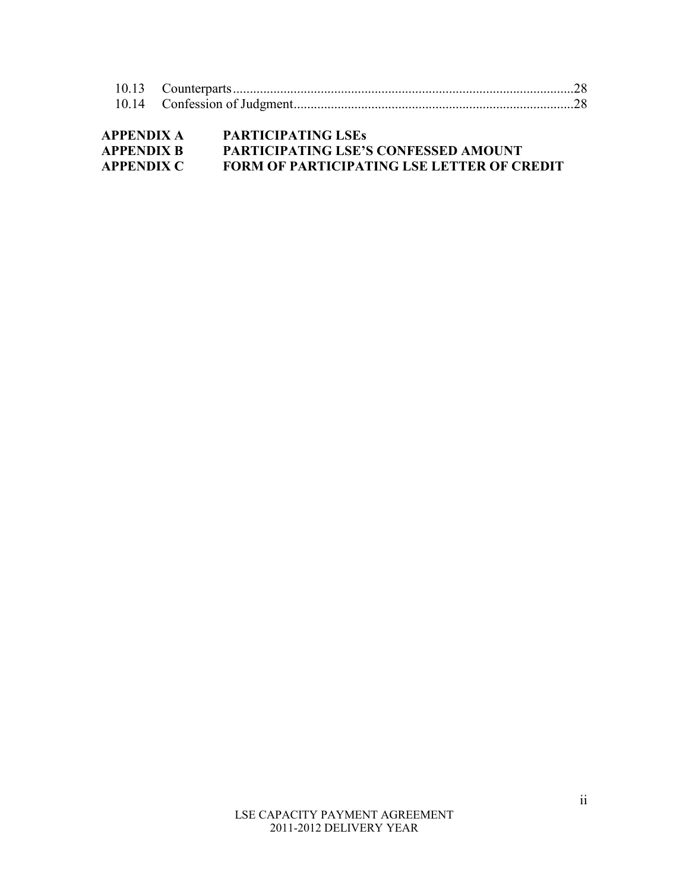| <b>APPENDIX A</b> | <b>PARTICIPATING LSES</b>                         |
|-------------------|---------------------------------------------------|
| <b>APPENDIX B</b> | PARTICIPATING LSE'S CONFESSED AMOUNT              |
| <b>APPENDIX C</b> | <b>FORM OF PARTICIPATING LSE LETTER OF CREDIT</b> |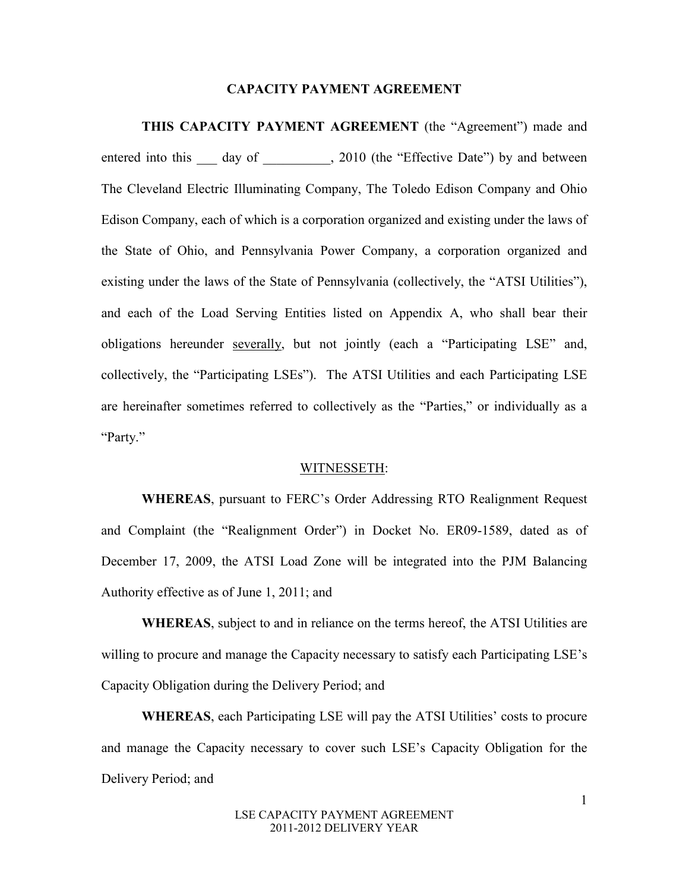#### **CAPACITY PAYMENT AGREEMENT**

**THIS CAPACITY PAYMENT AGREEMENT** (the "Agreement") made and entered into this \_\_\_ day of \_\_\_\_\_\_\_\_, 2010 (the "Effective Date") by and between The Cleveland Electric Illuminating Company, The Toledo Edison Company and Ohio Edison Company, each of which is a corporation organized and existing under the laws of the State of Ohio, and Pennsylvania Power Company, a corporation organized and existing under the laws of the State of Pennsylvania (collectively, the "ATSI Utilities"), and each of the Load Serving Entities listed on Appendix A, who shall bear their obligations hereunder severally, but not jointly (each a "Participating LSE" and, collectively, the "Participating LSEs"). The ATSI Utilities and each Participating LSE are hereinafter sometimes referred to collectively as the "Parties," or individually as a "Party."

#### WITNESSETH:

**WHEREAS**, pursuant to FERC's Order Addressing RTO Realignment Request and Complaint (the "Realignment Order") in Docket No. ER09-1589, dated as of December 17, 2009, the ATSI Load Zone will be integrated into the PJM Balancing Authority effective as of June 1, 2011; and

**WHEREAS**, subject to and in reliance on the terms hereof, the ATSI Utilities are willing to procure and manage the Capacity necessary to satisfy each Participating LSE's Capacity Obligation during the Delivery Period; and

**WHEREAS**, each Participating LSE will pay the ATSI Utilities' costs to procure and manage the Capacity necessary to cover such LSE's Capacity Obligation for the Delivery Period; and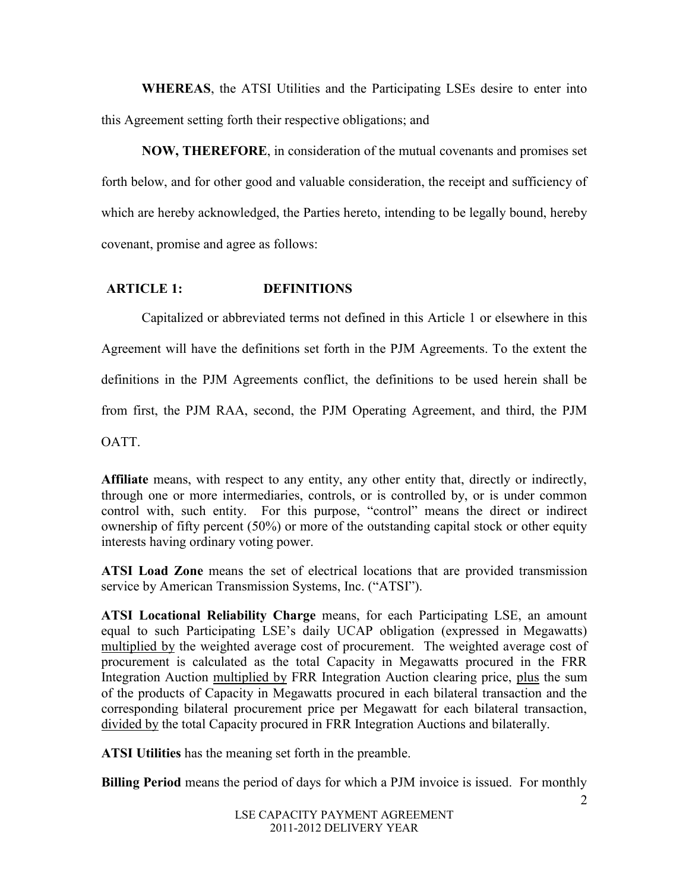**WHEREAS**, the ATSI Utilities and the Participating LSEs desire to enter into this Agreement setting forth their respective obligations; and

**NOW, THEREFORE**, in consideration of the mutual covenants and promises set forth below, and for other good and valuable consideration, the receipt and sufficiency of which are hereby acknowledged, the Parties hereto, intending to be legally bound, hereby covenant, promise and agree as follows:

## **ARTICLE 1: DEFINITIONS**

Capitalized or abbreviated terms not defined in this Article 1 or elsewhere in this Agreement will have the definitions set forth in the PJM Agreements. To the extent the definitions in the PJM Agreements conflict, the definitions to be used herein shall be from first, the PJM RAA, second, the PJM Operating Agreement, and third, the PJM **OATT** 

**Affiliate** means, with respect to any entity, any other entity that, directly or indirectly, through one or more intermediaries, controls, or is controlled by, or is under common control with, such entity. For this purpose, "control" means the direct or indirect ownership of fifty percent (50%) or more of the outstanding capital stock or other equity interests having ordinary voting power.

**ATSI Load Zone** means the set of electrical locations that are provided transmission service by American Transmission Systems, Inc. ("ATSI").

**ATSI Locational Reliability Charge** means, for each Participating LSE, an amount equal to such Participating LSE's daily UCAP obligation (expressed in Megawatts) multiplied by the weighted average cost of procurement. The weighted average cost of procurement is calculated as the total Capacity in Megawatts procured in the FRR Integration Auction multiplied by FRR Integration Auction clearing price, plus the sum of the products of Capacity in Megawatts procured in each bilateral transaction and the corresponding bilateral procurement price per Megawatt for each bilateral transaction, divided by the total Capacity procured in FRR Integration Auctions and bilaterally.

**ATSI Utilities** has the meaning set forth in the preamble.

**Billing Period** means the period of days for which a PJM invoice is issued. For monthly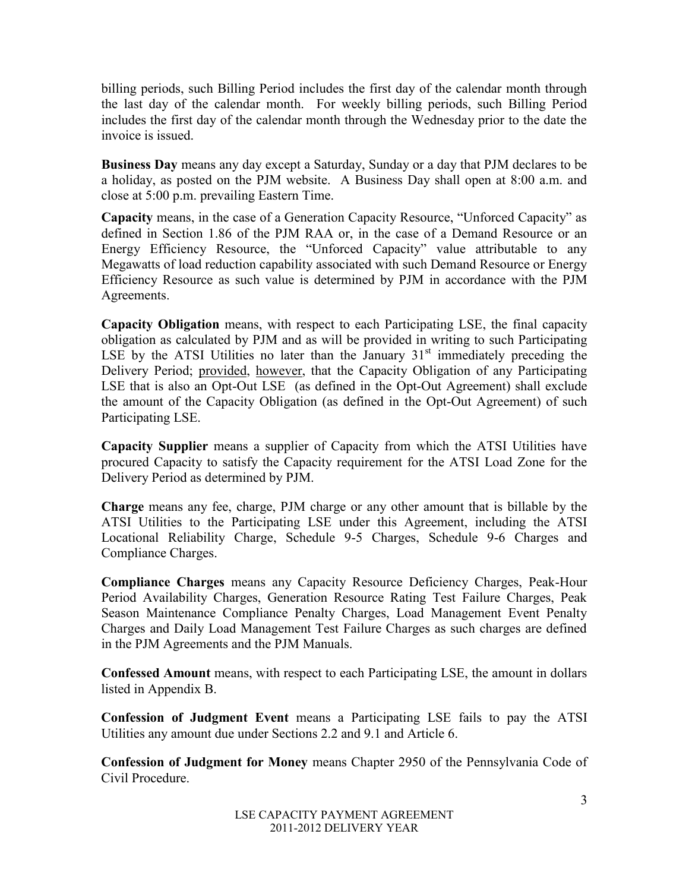billing periods, such Billing Period includes the first day of the calendar month through the last day of the calendar month. For weekly billing periods, such Billing Period includes the first day of the calendar month through the Wednesday prior to the date the invoice is issued.

**Business Day** means any day except a Saturday, Sunday or a day that PJM declares to be a holiday, as posted on the PJM website. A Business Day shall open at 8:00 a.m. and close at 5:00 p.m. prevailing Eastern Time.

**Capacity** means, in the case of a Generation Capacity Resource, "Unforced Capacity" as defined in Section 1.86 of the PJM RAA or, in the case of a Demand Resource or an Energy Efficiency Resource, the "Unforced Capacity" value attributable to any Megawatts of load reduction capability associated with such Demand Resource or Energy Efficiency Resource as such value is determined by PJM in accordance with the PJM Agreements.

**Capacity Obligation** means, with respect to each Participating LSE, the final capacity obligation as calculated by PJM and as will be provided in writing to such Participating LSE by the ATSI Utilities no later than the January  $31<sup>st</sup>$  immediately preceding the Delivery Period; provided, however, that the Capacity Obligation of any Participating LSE that is also an Opt-Out LSE (as defined in the Opt-Out Agreement) shall exclude the amount of the Capacity Obligation (as defined in the Opt-Out Agreement) of such Participating LSE.

**Capacity Supplier** means a supplier of Capacity from which the ATSI Utilities have procured Capacity to satisfy the Capacity requirement for the ATSI Load Zone for the Delivery Period as determined by PJM.

**Charge** means any fee, charge, PJM charge or any other amount that is billable by the ATSI Utilities to the Participating LSE under this Agreement, including the ATSI Locational Reliability Charge, Schedule 9-5 Charges, Schedule 9-6 Charges and Compliance Charges.

**Compliance Charges** means any Capacity Resource Deficiency Charges, Peak-Hour Period Availability Charges, Generation Resource Rating Test Failure Charges, Peak Season Maintenance Compliance Penalty Charges, Load Management Event Penalty Charges and Daily Load Management Test Failure Charges as such charges are defined in the PJM Agreements and the PJM Manuals.

**Confessed Amount** means, with respect to each Participating LSE, the amount in dollars listed in Appendix B.

**Confession of Judgment Event** means a Participating LSE fails to pay the ATSI Utilities any amount due under Sections 2.2 and 9.1 and Article 6.

**Confession of Judgment for Money** means Chapter 2950 of the Pennsylvania Code of Civil Procedure.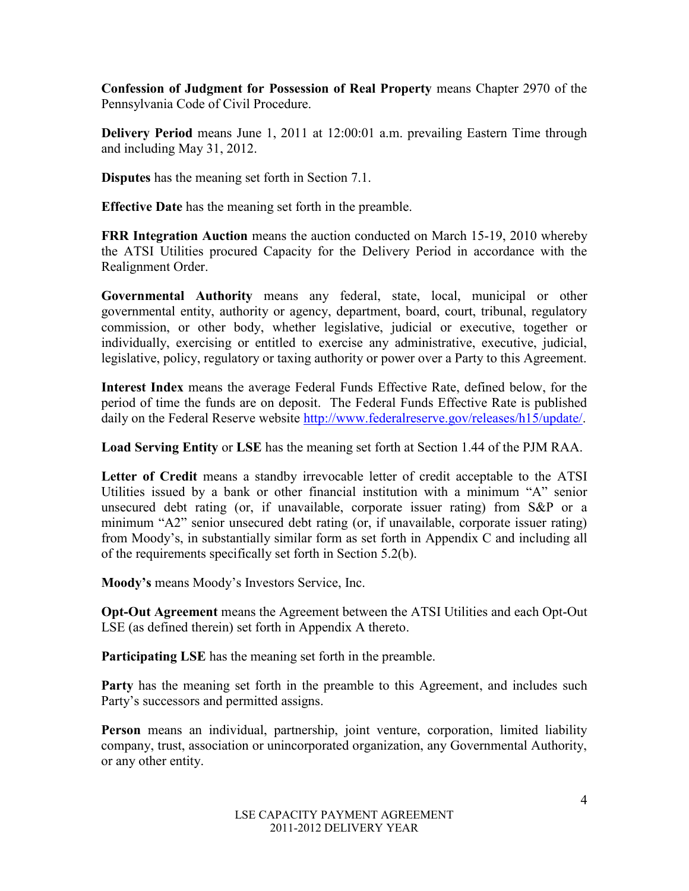**Confession of Judgment for Possession of Real Property** means Chapter 2970 of the Pennsylvania Code of Civil Procedure.

**Delivery Period** means June 1, 2011 at 12:00:01 a.m. prevailing Eastern Time through and including May 31, 2012.

**Disputes** has the meaning set forth in Section 7.1.

**Effective Date** has the meaning set forth in the preamble.

**FRR Integration Auction** means the auction conducted on March 15-19, 2010 whereby the ATSI Utilities procured Capacity for the Delivery Period in accordance with the Realignment Order.

**Governmental Authority** means any federal, state, local, municipal or other governmental entity, authority or agency, department, board, court, tribunal, regulatory commission, or other body, whether legislative, judicial or executive, together or individually, exercising or entitled to exercise any administrative, executive, judicial, legislative, policy, regulatory or taxing authority or power over a Party to this Agreement.

**Interest Index** means the average Federal Funds Effective Rate, defined below, for the period of time the funds are on deposit. The Federal Funds Effective Rate is published daily on the Federal Reserve website [http://www.federalreserve.gov/releases/h15/update/.](http://www.federalreserve.gov/releases/h15/update/)

**Load Serving Entity** or **LSE** has the meaning set forth at Section 1.44 of the PJM RAA.

Letter of Credit means a standby irrevocable letter of credit acceptable to the ATSI Utilities issued by a bank or other financial institution with a minimum "A" senior unsecured debt rating (or, if unavailable, corporate issuer rating) from S&P or a minimum "A2" senior unsecured debt rating (or, if unavailable, corporate issuer rating) from Moody's, in substantially similar form as set forth in Appendix C and including all of the requirements specifically set forth in Section 5.2(b).

**Moody's** means Moody's Investors Service, Inc.

**Opt-Out Agreement** means the Agreement between the ATSI Utilities and each Opt-Out LSE (as defined therein) set forth in Appendix A thereto.

**Participating LSE** has the meaning set forth in the preamble.

Party has the meaning set forth in the preamble to this Agreement, and includes such Party's successors and permitted assigns.

Person means an individual, partnership, joint venture, corporation, limited liability company, trust, association or unincorporated organization, any Governmental Authority, or any other entity.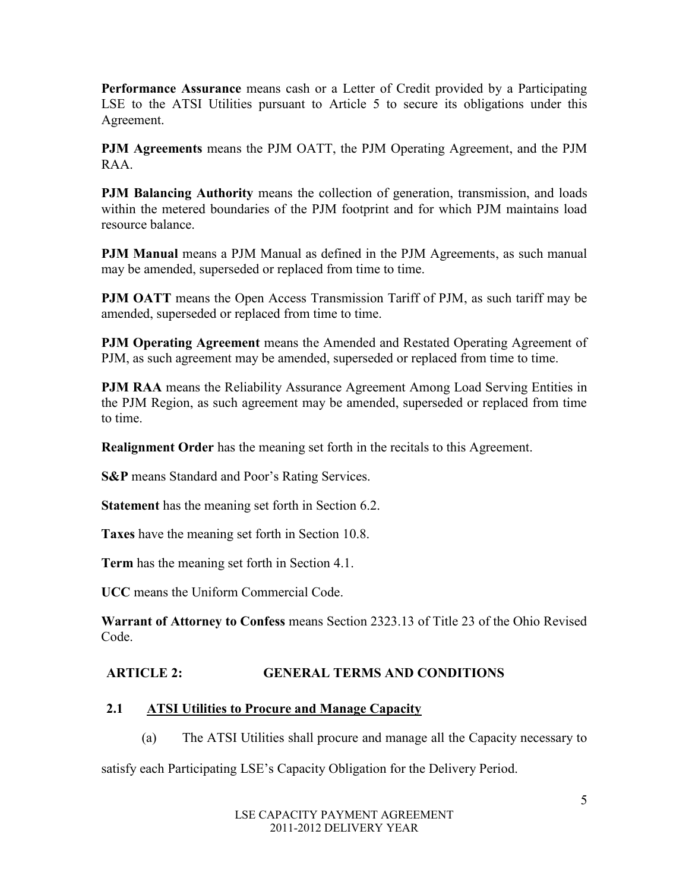**Performance Assurance** means cash or a Letter of Credit provided by a Participating LSE to the ATSI Utilities pursuant to Article 5 to secure its obligations under this Agreement.

**PJM Agreements** means the PJM OATT, the PJM Operating Agreement, and the PJM RAA.

**PJM Balancing Authority** means the collection of generation, transmission, and loads within the metered boundaries of the PJM footprint and for which PJM maintains load resource balance.

**PJM Manual** means a PJM Manual as defined in the PJM Agreements, as such manual may be amended, superseded or replaced from time to time.

**PJM OATT** means the Open Access Transmission Tariff of PJM, as such tariff may be amended, superseded or replaced from time to time.

**PJM Operating Agreement** means the Amended and Restated Operating Agreement of PJM, as such agreement may be amended, superseded or replaced from time to time.

**PJM RAA** means the Reliability Assurance Agreement Among Load Serving Entities in the PJM Region, as such agreement may be amended, superseded or replaced from time to time.

**Realignment Order** has the meaning set forth in the recitals to this Agreement.

**S&P** means Standard and Poor's Rating Services.

**Statement** has the meaning set forth in Section 6.2.

**Taxes** have the meaning set forth in Section 10.8.

**Term** has the meaning set forth in Section 4.1.

**UCC** means the Uniform Commercial Code.

**Warrant of Attorney to Confess** means Section 2323.13 of Title 23 of the Ohio Revised Code.

# **ARTICLE 2: GENERAL TERMS AND CONDITIONS**

# **2.1 ATSI Utilities to Procure and Manage Capacity**

(a) The ATSI Utilities shall procure and manage all the Capacity necessary to

satisfy each Participating LSE's Capacity Obligation for the Delivery Period.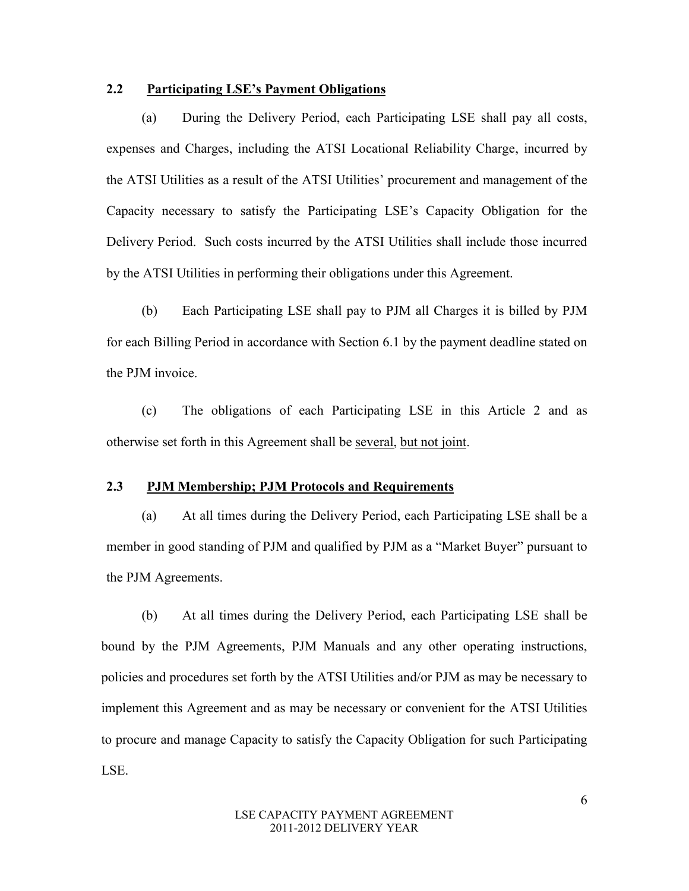## **2.2 Participating LSE's Payment Obligations**

(a) During the Delivery Period, each Participating LSE shall pay all costs, expenses and Charges, including the ATSI Locational Reliability Charge, incurred by the ATSI Utilities as a result of the ATSI Utilities' procurement and management of the Capacity necessary to satisfy the Participating LSE's Capacity Obligation for the Delivery Period. Such costs incurred by the ATSI Utilities shall include those incurred by the ATSI Utilities in performing their obligations under this Agreement.

(b) Each Participating LSE shall pay to PJM all Charges it is billed by PJM for each Billing Period in accordance with Section 6.1 by the payment deadline stated on the PJM invoice.

(c) The obligations of each Participating LSE in this Article 2 and as otherwise set forth in this Agreement shall be several, but not joint.

#### **2.3 PJM Membership; PJM Protocols and Requirements**

(a) At all times during the Delivery Period, each Participating LSE shall be a member in good standing of PJM and qualified by PJM as a "Market Buyer" pursuant to the PJM Agreements.

(b) At all times during the Delivery Period, each Participating LSE shall be bound by the PJM Agreements, PJM Manuals and any other operating instructions, policies and procedures set forth by the ATSI Utilities and/or PJM as may be necessary to implement this Agreement and as may be necessary or convenient for the ATSI Utilities to procure and manage Capacity to satisfy the Capacity Obligation for such Participating LSE.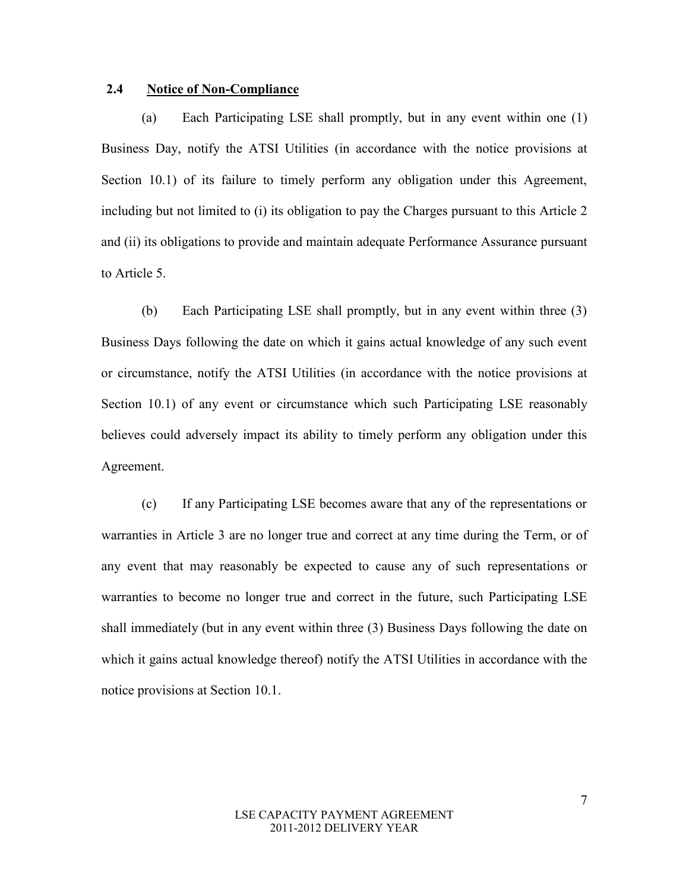## **2.4 Notice of Non-Compliance**

(a) Each Participating LSE shall promptly, but in any event within one (1) Business Day, notify the ATSI Utilities (in accordance with the notice provisions at Section 10.1) of its failure to timely perform any obligation under this Agreement, including but not limited to (i) its obligation to pay the Charges pursuant to this Article 2 and (ii) its obligations to provide and maintain adequate Performance Assurance pursuant to Article 5.

(b) Each Participating LSE shall promptly, but in any event within three (3) Business Days following the date on which it gains actual knowledge of any such event or circumstance, notify the ATSI Utilities (in accordance with the notice provisions at Section 10.1) of any event or circumstance which such Participating LSE reasonably believes could adversely impact its ability to timely perform any obligation under this Agreement.

(c) If any Participating LSE becomes aware that any of the representations or warranties in Article 3 are no longer true and correct at any time during the Term, or of any event that may reasonably be expected to cause any of such representations or warranties to become no longer true and correct in the future, such Participating LSE shall immediately (but in any event within three (3) Business Days following the date on which it gains actual knowledge thereof) notify the ATSI Utilities in accordance with the notice provisions at Section 10.1.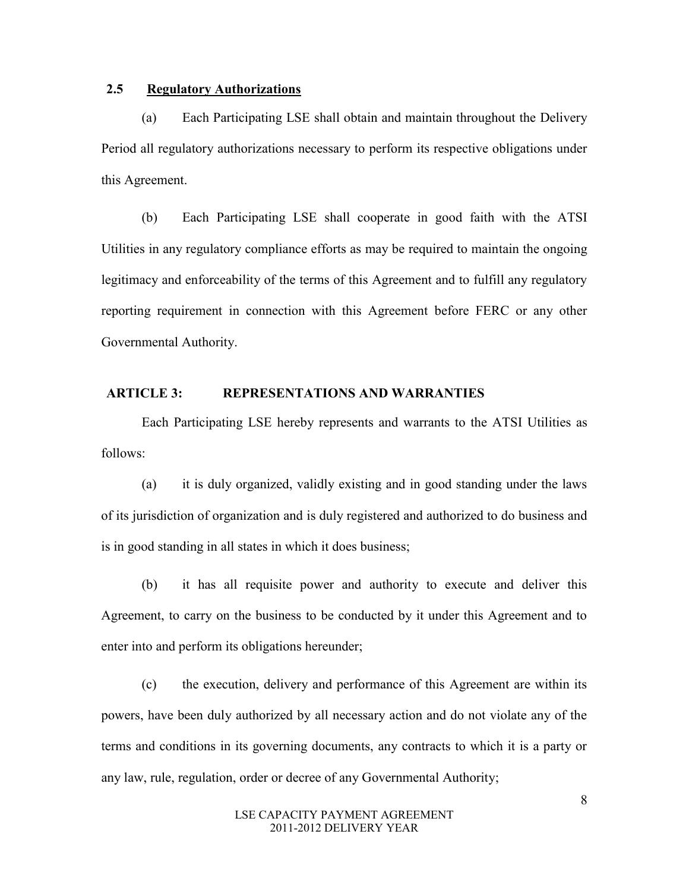## **2.5 Regulatory Authorizations**

(a) Each Participating LSE shall obtain and maintain throughout the Delivery Period all regulatory authorizations necessary to perform its respective obligations under this Agreement.

(b) Each Participating LSE shall cooperate in good faith with the ATSI Utilities in any regulatory compliance efforts as may be required to maintain the ongoing legitimacy and enforceability of the terms of this Agreement and to fulfill any regulatory reporting requirement in connection with this Agreement before FERC or any other Governmental Authority.

## **ARTICLE 3: REPRESENTATIONS AND WARRANTIES**

Each Participating LSE hereby represents and warrants to the ATSI Utilities as follows:

(a) it is duly organized, validly existing and in good standing under the laws of its jurisdiction of organization and is duly registered and authorized to do business and is in good standing in all states in which it does business;

(b) it has all requisite power and authority to execute and deliver this Agreement, to carry on the business to be conducted by it under this Agreement and to enter into and perform its obligations hereunder;

(c) the execution, delivery and performance of this Agreement are within its powers, have been duly authorized by all necessary action and do not violate any of the terms and conditions in its governing documents, any contracts to which it is a party or any law, rule, regulation, order or decree of any Governmental Authority;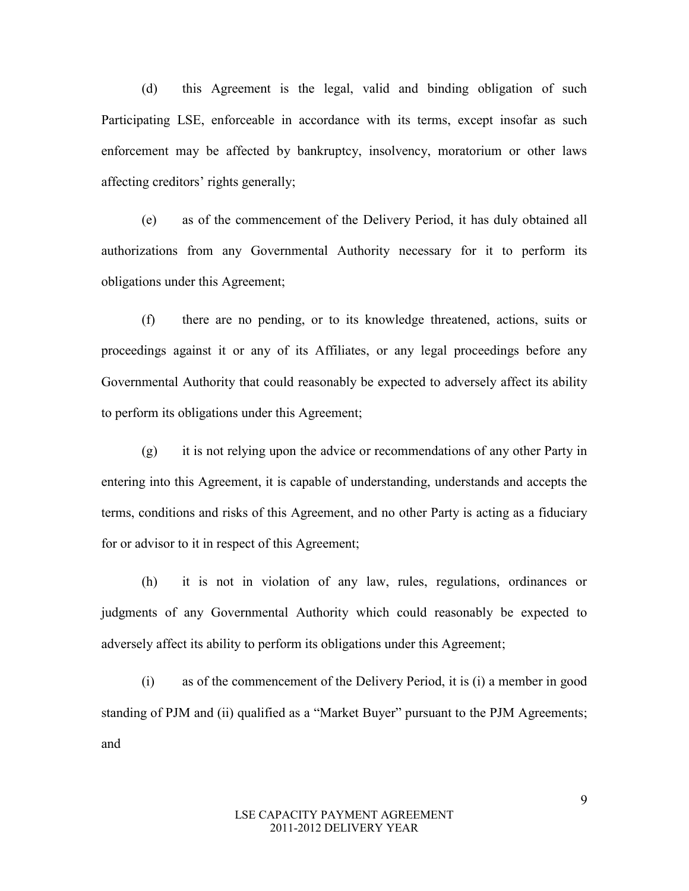(d) this Agreement is the legal, valid and binding obligation of such Participating LSE, enforceable in accordance with its terms, except insofar as such enforcement may be affected by bankruptcy, insolvency, moratorium or other laws affecting creditors' rights generally;

(e) as of the commencement of the Delivery Period, it has duly obtained all authorizations from any Governmental Authority necessary for it to perform its obligations under this Agreement;

(f) there are no pending, or to its knowledge threatened, actions, suits or proceedings against it or any of its Affiliates, or any legal proceedings before any Governmental Authority that could reasonably be expected to adversely affect its ability to perform its obligations under this Agreement;

(g) it is not relying upon the advice or recommendations of any other Party in entering into this Agreement, it is capable of understanding, understands and accepts the terms, conditions and risks of this Agreement, and no other Party is acting as a fiduciary for or advisor to it in respect of this Agreement;

(h) it is not in violation of any law, rules, regulations, ordinances or judgments of any Governmental Authority which could reasonably be expected to adversely affect its ability to perform its obligations under this Agreement;

(i) as of the commencement of the Delivery Period, it is (i) a member in good standing of PJM and (ii) qualified as a "Market Buyer" pursuant to the PJM Agreements; and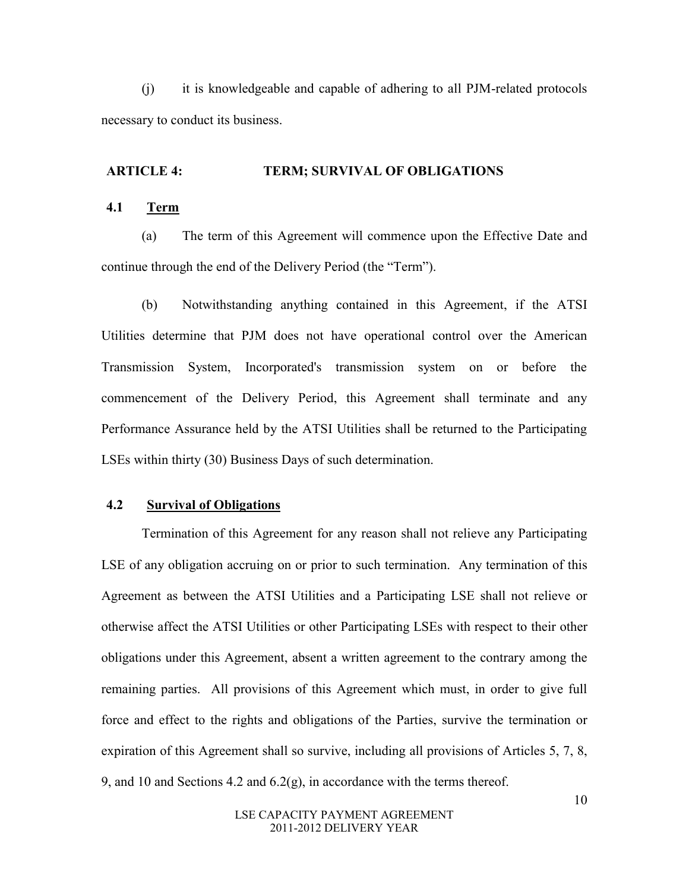(j) it is knowledgeable and capable of adhering to all PJM-related protocols necessary to conduct its business.

#### **ARTICLE 4: TERM; SURVIVAL OF OBLIGATIONS**

## **4.1 Term**

(a) The term of this Agreement will commence upon the Effective Date and continue through the end of the Delivery Period (the "Term").

(b) Notwithstanding anything contained in this Agreement, if the ATSI Utilities determine that PJM does not have operational control over the American Transmission System, Incorporated's transmission system on or before the commencement of the Delivery Period, this Agreement shall terminate and any Performance Assurance held by the ATSI Utilities shall be returned to the Participating LSEs within thirty (30) Business Days of such determination.

## **4.2 Survival of Obligations**

Termination of this Agreement for any reason shall not relieve any Participating LSE of any obligation accruing on or prior to such termination. Any termination of this Agreement as between the ATSI Utilities and a Participating LSE shall not relieve or otherwise affect the ATSI Utilities or other Participating LSEs with respect to their other obligations under this Agreement, absent a written agreement to the contrary among the remaining parties. All provisions of this Agreement which must, in order to give full force and effect to the rights and obligations of the Parties, survive the termination or expiration of this Agreement shall so survive, including all provisions of Articles 5, 7, 8, 9, and 10 and Sections 4.2 and  $6.2(g)$ , in accordance with the terms thereof.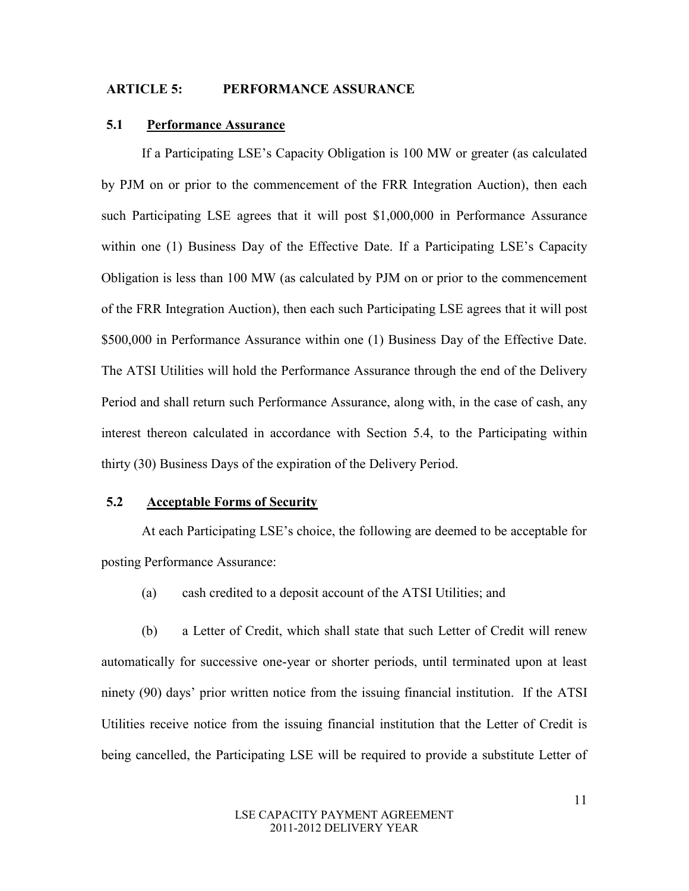### **ARTICLE 5: PERFORMANCE ASSURANCE**

## **5.1 Performance Assurance**

If a Participating LSE's Capacity Obligation is 100 MW or greater (as calculated by PJM on or prior to the commencement of the FRR Integration Auction), then each such Participating LSE agrees that it will post \$1,000,000 in Performance Assurance within one (1) Business Day of the Effective Date. If a Participating LSE's Capacity Obligation is less than 100 MW (as calculated by PJM on or prior to the commencement of the FRR Integration Auction), then each such Participating LSE agrees that it will post \$500,000 in Performance Assurance within one (1) Business Day of the Effective Date. The ATSI Utilities will hold the Performance Assurance through the end of the Delivery Period and shall return such Performance Assurance, along with, in the case of cash, any interest thereon calculated in accordance with Section 5.4, to the Participating within thirty (30) Business Days of the expiration of the Delivery Period.

## **5.2 Acceptable Forms of Security**

At each Participating LSE's choice, the following are deemed to be acceptable for posting Performance Assurance:

(a) cash credited to a deposit account of the ATSI Utilities; and

(b) a Letter of Credit, which shall state that such Letter of Credit will renew automatically for successive one-year or shorter periods, until terminated upon at least ninety (90) days' prior written notice from the issuing financial institution. If the ATSI Utilities receive notice from the issuing financial institution that the Letter of Credit is being cancelled, the Participating LSE will be required to provide a substitute Letter of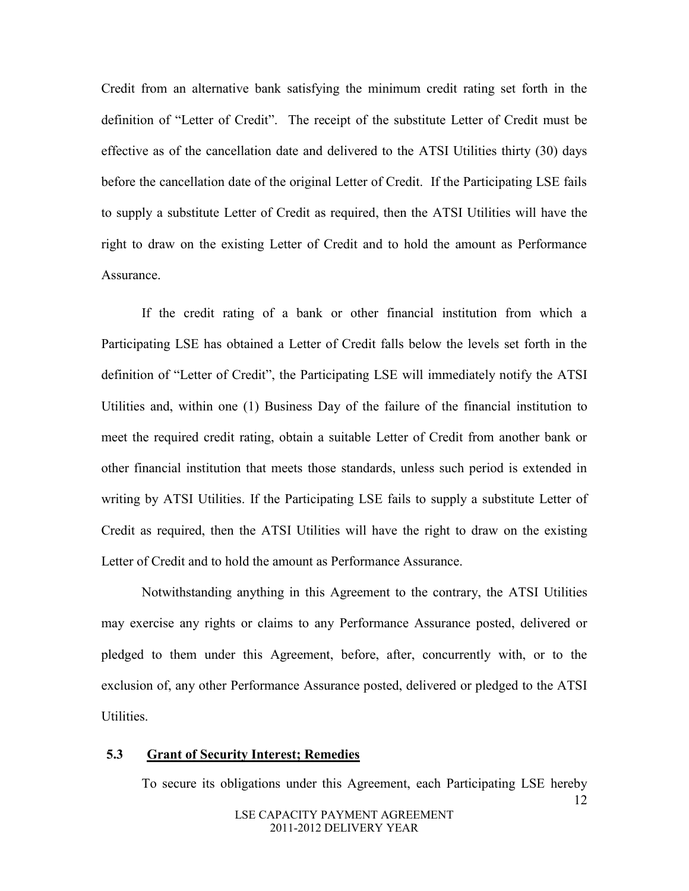Credit from an alternative bank satisfying the minimum credit rating set forth in the definition of "Letter of Credit". The receipt of the substitute Letter of Credit must be effective as of the cancellation date and delivered to the ATSI Utilities thirty (30) days before the cancellation date of the original Letter of Credit. If the Participating LSE fails to supply a substitute Letter of Credit as required, then the ATSI Utilities will have the right to draw on the existing Letter of Credit and to hold the amount as Performance **Assurance** 

If the credit rating of a bank or other financial institution from which a Participating LSE has obtained a Letter of Credit falls below the levels set forth in the definition of "Letter of Credit", the Participating LSE will immediately notify the ATSI Utilities and, within one (1) Business Day of the failure of the financial institution to meet the required credit rating, obtain a suitable Letter of Credit from another bank or other financial institution that meets those standards, unless such period is extended in writing by ATSI Utilities. If the Participating LSE fails to supply a substitute Letter of Credit as required, then the ATSI Utilities will have the right to draw on the existing Letter of Credit and to hold the amount as Performance Assurance.

Notwithstanding anything in this Agreement to the contrary, the ATSI Utilities may exercise any rights or claims to any Performance Assurance posted, delivered or pledged to them under this Agreement, before, after, concurrently with, or to the exclusion of, any other Performance Assurance posted, delivered or pledged to the ATSI Utilities.

## **5.3 Grant of Security Interest; Remedies**

12 LSE CAPACITY PAYMENT AGREEMENT To secure its obligations under this Agreement, each Participating LSE hereby

2011-2012 DELIVERY YEAR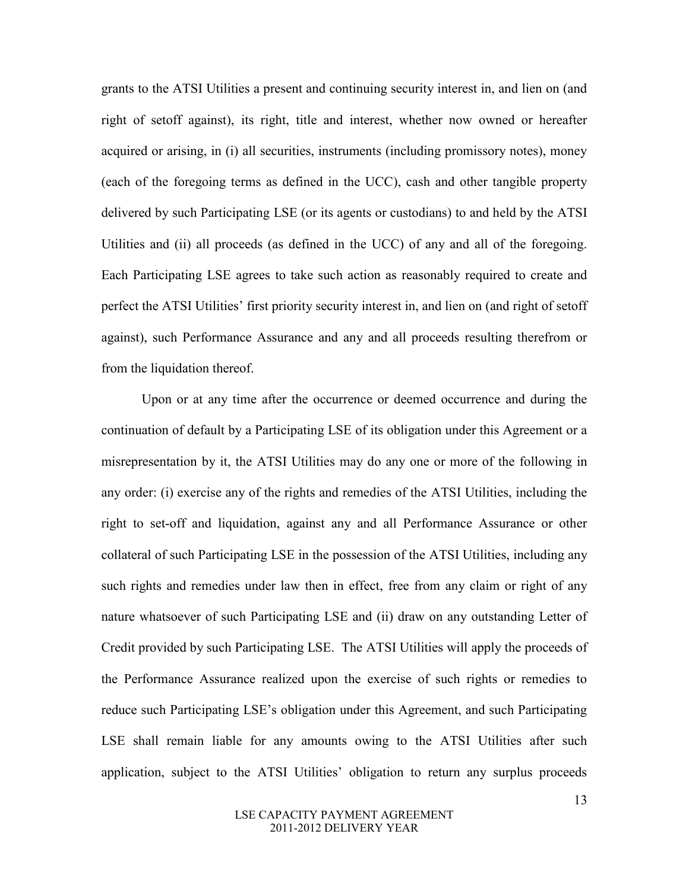grants to the ATSI Utilities a present and continuing security interest in, and lien on (and right of setoff against), its right, title and interest, whether now owned or hereafter acquired or arising, in (i) all securities, instruments (including promissory notes), money (each of the foregoing terms as defined in the UCC), cash and other tangible property delivered by such Participating LSE (or its agents or custodians) to and held by the ATSI Utilities and (ii) all proceeds (as defined in the UCC) of any and all of the foregoing. Each Participating LSE agrees to take such action as reasonably required to create and perfect the ATSI Utilities' first priority security interest in, and lien on (and right of setoff against), such Performance Assurance and any and all proceeds resulting therefrom or from the liquidation thereof.

Upon or at any time after the occurrence or deemed occurrence and during the continuation of default by a Participating LSE of its obligation under this Agreement or a misrepresentation by it, the ATSI Utilities may do any one or more of the following in any order: (i) exercise any of the rights and remedies of the ATSI Utilities, including the right to set-off and liquidation, against any and all Performance Assurance or other collateral of such Participating LSE in the possession of the ATSI Utilities, including any such rights and remedies under law then in effect, free from any claim or right of any nature whatsoever of such Participating LSE and (ii) draw on any outstanding Letter of Credit provided by such Participating LSE. The ATSI Utilities will apply the proceeds of the Performance Assurance realized upon the exercise of such rights or remedies to reduce such Participating LSE's obligation under this Agreement, and such Participating LSE shall remain liable for any amounts owing to the ATSI Utilities after such application, subject to the ATSI Utilities' obligation to return any surplus proceeds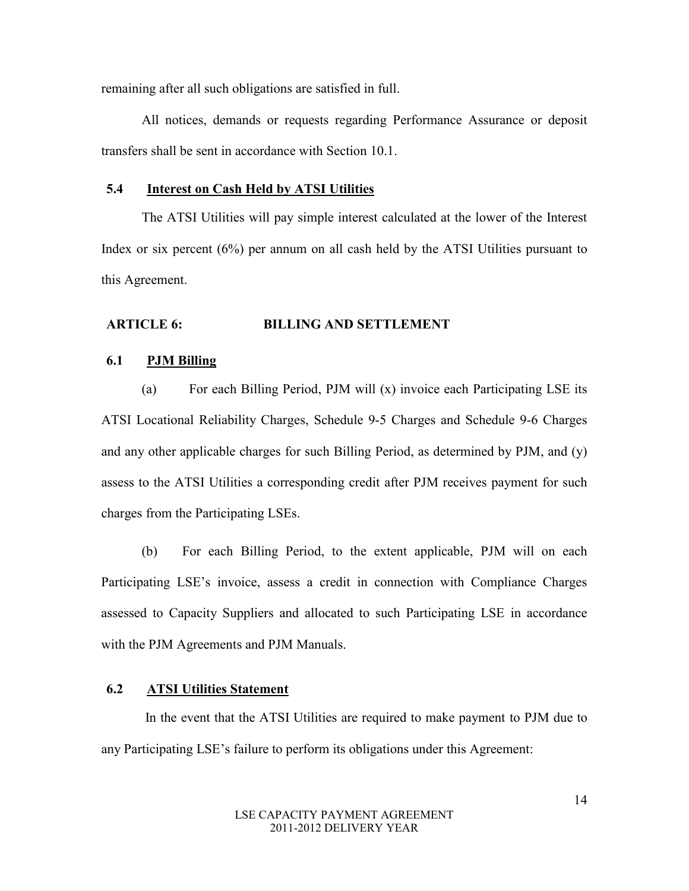remaining after all such obligations are satisfied in full.

All notices, demands or requests regarding Performance Assurance or deposit transfers shall be sent in accordance with Section 10.1.

## **5.4 Interest on Cash Held by ATSI Utilities**

The ATSI Utilities will pay simple interest calculated at the lower of the Interest Index or six percent (6%) per annum on all cash held by the ATSI Utilities pursuant to this Agreement.

#### **ARTICLE 6: BILLING AND SETTLEMENT**

#### **6.1 PJM Billing**

(a) For each Billing Period, PJM will (x) invoice each Participating LSE its ATSI Locational Reliability Charges, Schedule 9-5 Charges and Schedule 9-6 Charges and any other applicable charges for such Billing Period, as determined by PJM, and (y) assess to the ATSI Utilities a corresponding credit after PJM receives payment for such charges from the Participating LSEs.

(b) For each Billing Period, to the extent applicable, PJM will on each Participating LSE's invoice, assess a credit in connection with Compliance Charges assessed to Capacity Suppliers and allocated to such Participating LSE in accordance with the PJM Agreements and PJM Manuals.

## **6.2 ATSI Utilities Statement**

 In the event that the ATSI Utilities are required to make payment to PJM due to any Participating LSE's failure to perform its obligations under this Agreement: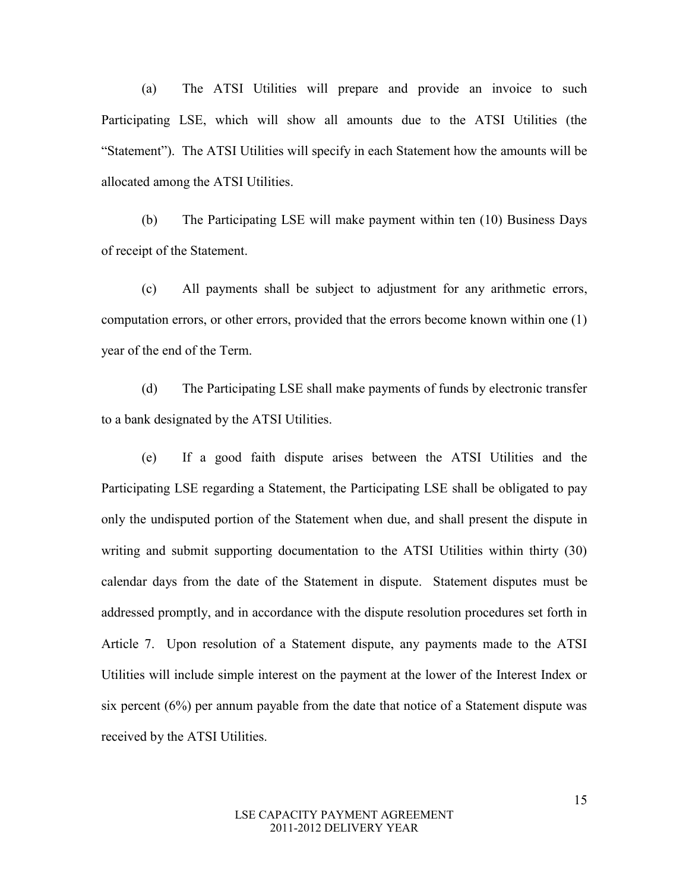(a) The ATSI Utilities will prepare and provide an invoice to such Participating LSE, which will show all amounts due to the ATSI Utilities (the "Statement"). The ATSI Utilities will specify in each Statement how the amounts will be allocated among the ATSI Utilities.

(b) The Participating LSE will make payment within ten (10) Business Days of receipt of the Statement.

(c) All payments shall be subject to adjustment for any arithmetic errors, computation errors, or other errors, provided that the errors become known within one (1) year of the end of the Term.

(d) The Participating LSE shall make payments of funds by electronic transfer to a bank designated by the ATSI Utilities.

(e) If a good faith dispute arises between the ATSI Utilities and the Participating LSE regarding a Statement, the Participating LSE shall be obligated to pay only the undisputed portion of the Statement when due, and shall present the dispute in writing and submit supporting documentation to the ATSI Utilities within thirty (30) calendar days from the date of the Statement in dispute. Statement disputes must be addressed promptly, and in accordance with the dispute resolution procedures set forth in Article 7. Upon resolution of a Statement dispute, any payments made to the ATSI Utilities will include simple interest on the payment at the lower of the Interest Index or six percent (6%) per annum payable from the date that notice of a Statement dispute was received by the ATSI Utilities.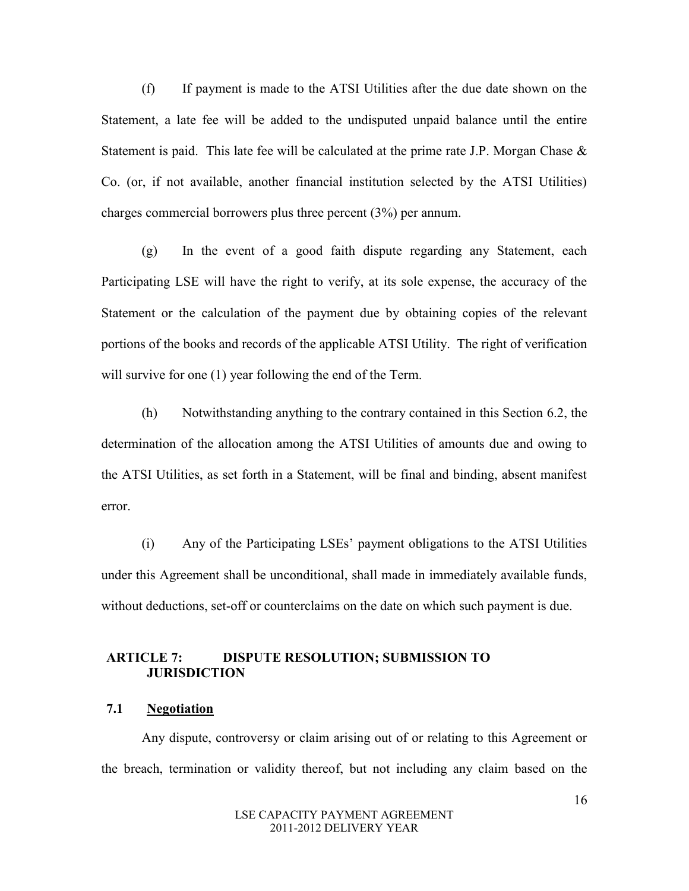(f) If payment is made to the ATSI Utilities after the due date shown on the Statement, a late fee will be added to the undisputed unpaid balance until the entire Statement is paid. This late fee will be calculated at the prime rate J.P. Morgan Chase  $\&$ Co. (or, if not available, another financial institution selected by the ATSI Utilities) charges commercial borrowers plus three percent (3%) per annum.

(g) In the event of a good faith dispute regarding any Statement, each Participating LSE will have the right to verify, at its sole expense, the accuracy of the Statement or the calculation of the payment due by obtaining copies of the relevant portions of the books and records of the applicable ATSI Utility. The right of verification will survive for one (1) year following the end of the Term.

(h) Notwithstanding anything to the contrary contained in this Section 6.2, the determination of the allocation among the ATSI Utilities of amounts due and owing to the ATSI Utilities, as set forth in a Statement, will be final and binding, absent manifest error.

(i) Any of the Participating LSEs' payment obligations to the ATSI Utilities under this Agreement shall be unconditional, shall made in immediately available funds, without deductions, set-off or counterclaims on the date on which such payment is due.

## **ARTICLE 7: DISPUTE RESOLUTION; SUBMISSION TO JURISDICTION**

## **7.1 Negotiation**

Any dispute, controversy or claim arising out of or relating to this Agreement or the breach, termination or validity thereof, but not including any claim based on the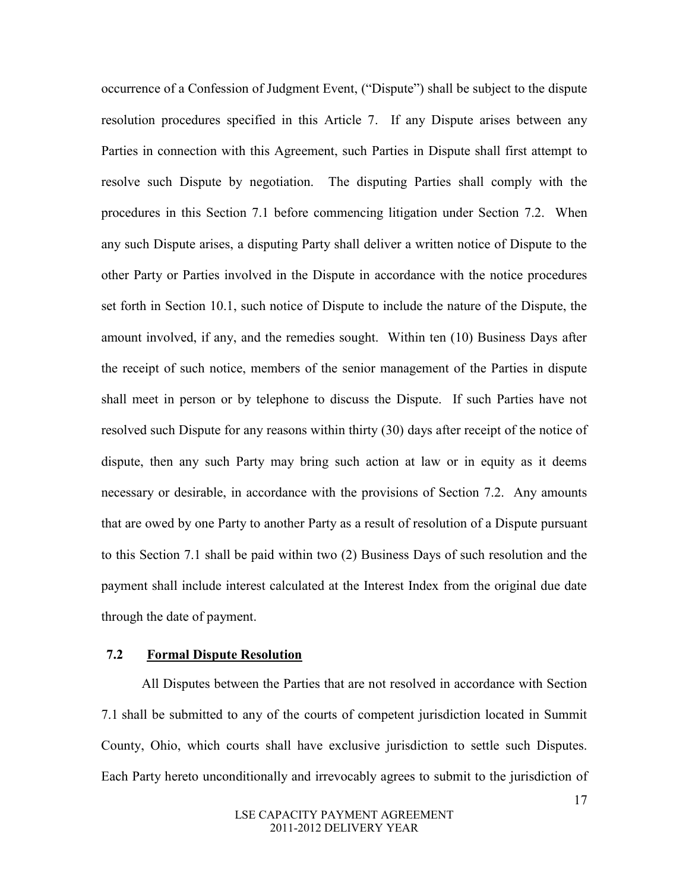occurrence of a Confession of Judgment Event, ("Dispute") shall be subject to the dispute resolution procedures specified in this Article 7. If any Dispute arises between any Parties in connection with this Agreement, such Parties in Dispute shall first attempt to resolve such Dispute by negotiation. The disputing Parties shall comply with the procedures in this Section 7.1 before commencing litigation under Section 7.2. When any such Dispute arises, a disputing Party shall deliver a written notice of Dispute to the other Party or Parties involved in the Dispute in accordance with the notice procedures set forth in Section 10.1, such notice of Dispute to include the nature of the Dispute, the amount involved, if any, and the remedies sought. Within ten (10) Business Days after the receipt of such notice, members of the senior management of the Parties in dispute shall meet in person or by telephone to discuss the Dispute. If such Parties have not resolved such Dispute for any reasons within thirty (30) days after receipt of the notice of dispute, then any such Party may bring such action at law or in equity as it deems necessary or desirable, in accordance with the provisions of Section 7.2. Any amounts that are owed by one Party to another Party as a result of resolution of a Dispute pursuant to this Section 7.1 shall be paid within two (2) Business Days of such resolution and the payment shall include interest calculated at the Interest Index from the original due date through the date of payment.

#### **7.2 Formal Dispute Resolution**

All Disputes between the Parties that are not resolved in accordance with Section 7.1 shall be submitted to any of the courts of competent jurisdiction located in Summit County, Ohio, which courts shall have exclusive jurisdiction to settle such Disputes. Each Party hereto unconditionally and irrevocably agrees to submit to the jurisdiction of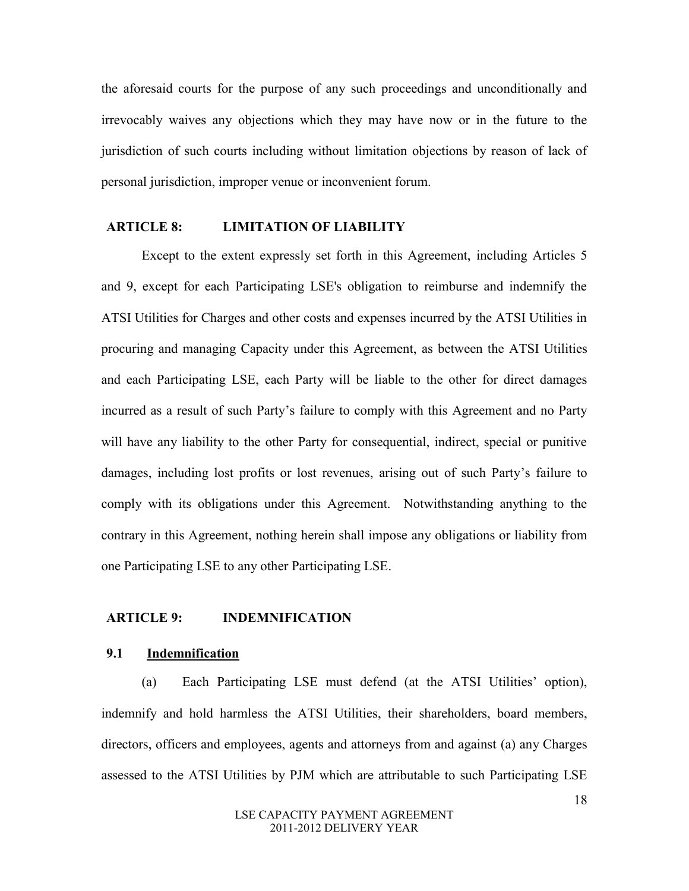the aforesaid courts for the purpose of any such proceedings and unconditionally and irrevocably waives any objections which they may have now or in the future to the jurisdiction of such courts including without limitation objections by reason of lack of personal jurisdiction, improper venue or inconvenient forum.

#### **ARTICLE 8: LIMITATION OF LIABILITY**

 Except to the extent expressly set forth in this Agreement, including Articles 5 and 9, except for each Participating LSE's obligation to reimburse and indemnify the ATSI Utilities for Charges and other costs and expenses incurred by the ATSI Utilities in procuring and managing Capacity under this Agreement, as between the ATSI Utilities and each Participating LSE, each Party will be liable to the other for direct damages incurred as a result of such Party's failure to comply with this Agreement and no Party will have any liability to the other Party for consequential, indirect, special or punitive damages, including lost profits or lost revenues, arising out of such Party's failure to comply with its obligations under this Agreement. Notwithstanding anything to the contrary in this Agreement, nothing herein shall impose any obligations or liability from one Participating LSE to any other Participating LSE.

## **ARTICLE 9: INDEMNIFICATION**

#### **9.1 Indemnification**

(a) Each Participating LSE must defend (at the ATSI Utilities' option), indemnify and hold harmless the ATSI Utilities, their shareholders, board members, directors, officers and employees, agents and attorneys from and against (a) any Charges assessed to the ATSI Utilities by PJM which are attributable to such Participating LSE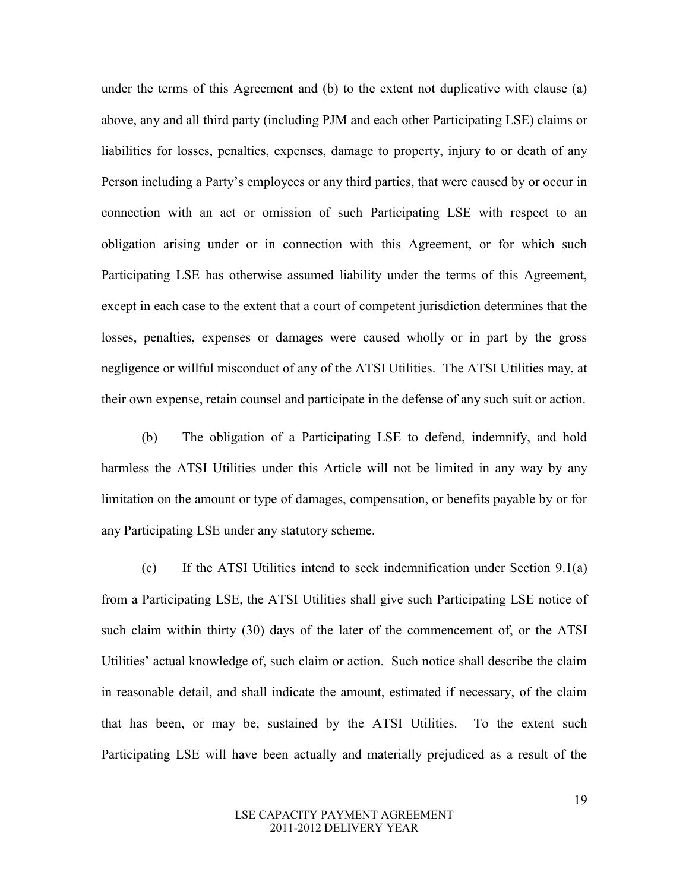under the terms of this Agreement and (b) to the extent not duplicative with clause (a) above, any and all third party (including PJM and each other Participating LSE) claims or liabilities for losses, penalties, expenses, damage to property, injury to or death of any Person including a Party's employees or any third parties, that were caused by or occur in connection with an act or omission of such Participating LSE with respect to an obligation arising under or in connection with this Agreement, or for which such Participating LSE has otherwise assumed liability under the terms of this Agreement, except in each case to the extent that a court of competent jurisdiction determines that the losses, penalties, expenses or damages were caused wholly or in part by the gross negligence or willful misconduct of any of the ATSI Utilities. The ATSI Utilities may, at their own expense, retain counsel and participate in the defense of any such suit or action.

(b) The obligation of a Participating LSE to defend, indemnify, and hold harmless the ATSI Utilities under this Article will not be limited in any way by any limitation on the amount or type of damages, compensation, or benefits payable by or for any Participating LSE under any statutory scheme.

(c) If the ATSI Utilities intend to seek indemnification under Section 9.1(a) from a Participating LSE, the ATSI Utilities shall give such Participating LSE notice of such claim within thirty (30) days of the later of the commencement of, or the ATSI Utilities' actual knowledge of, such claim or action. Such notice shall describe the claim in reasonable detail, and shall indicate the amount, estimated if necessary, of the claim that has been, or may be, sustained by the ATSI Utilities. To the extent such Participating LSE will have been actually and materially prejudiced as a result of the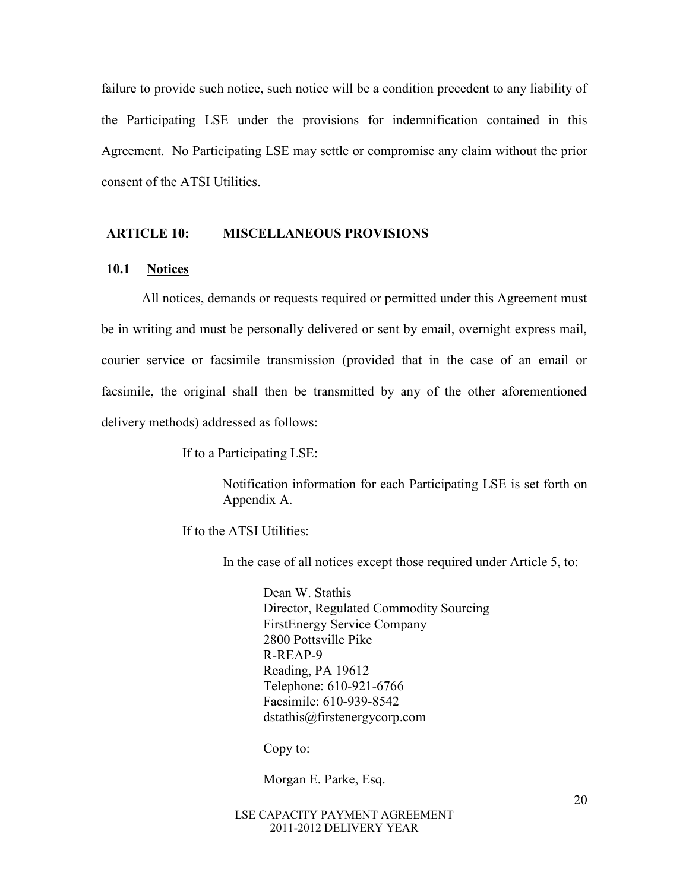failure to provide such notice, such notice will be a condition precedent to any liability of the Participating LSE under the provisions for indemnification contained in this Agreement. No Participating LSE may settle or compromise any claim without the prior consent of the ATSI Utilities.

#### **ARTICLE 10: MISCELLANEOUS PROVISIONS**

## **10.1 Notices**

All notices, demands or requests required or permitted under this Agreement must be in writing and must be personally delivered or sent by email, overnight express mail, courier service or facsimile transmission (provided that in the case of an email or facsimile, the original shall then be transmitted by any of the other aforementioned delivery methods) addressed as follows:

If to a Participating LSE:

Notification information for each Participating LSE is set forth on Appendix A.

If to the ATSI Utilities:

In the case of all notices except those required under Article 5, to:

Dean W. Stathis Director, Regulated Commodity Sourcing FirstEnergy Service Company 2800 Pottsville Pike R-REAP-9 Reading, PA 19612 Telephone: 610-921-6766 Facsimile: 610-939-8542 dstathis@firstenergycorp.com

Copy to:

Morgan E. Parke, Esq.

#### LSE CAPACITY PAYMENT AGREEMENT 2011-2012 DELIVERY YEAR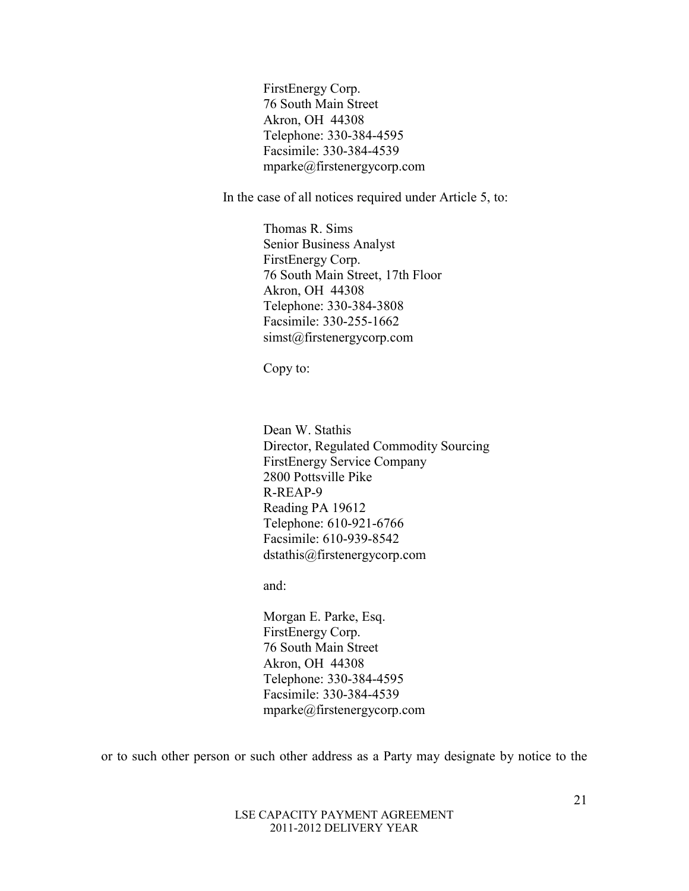FirstEnergy Corp. 76 South Main Street Akron, OH 44308 Telephone: 330-384-4595 Facsimile: 330-384-4539 mparke@firstenergycorp.com

In the case of all notices required under Article 5, to:

 Thomas R. Sims Senior Business Analyst FirstEnergy Corp. 76 South Main Street, 17th Floor Akron, OH 44308 Telephone: 330-384-3808 Facsimile: 330-255-1662 simst@firstenergycorp.com

Copy to:

Dean W. Stathis Director, Regulated Commodity Sourcing FirstEnergy Service Company 2800 Pottsville Pike R-REAP-9 Reading PA 19612 Telephone: 610-921-6766 Facsimile: 610-939-8542 dstathis@firstenergycorp.com

and:

Morgan E. Parke, Esq. FirstEnergy Corp. 76 South Main Street Akron, OH 44308 Telephone: 330-384-4595 Facsimile: 330-384-4539 mparke@firstenergycorp.com

or to such other person or such other address as a Party may designate by notice to the

#### LSE CAPACITY PAYMENT AGREEMENT 2011-2012 DELIVERY YEAR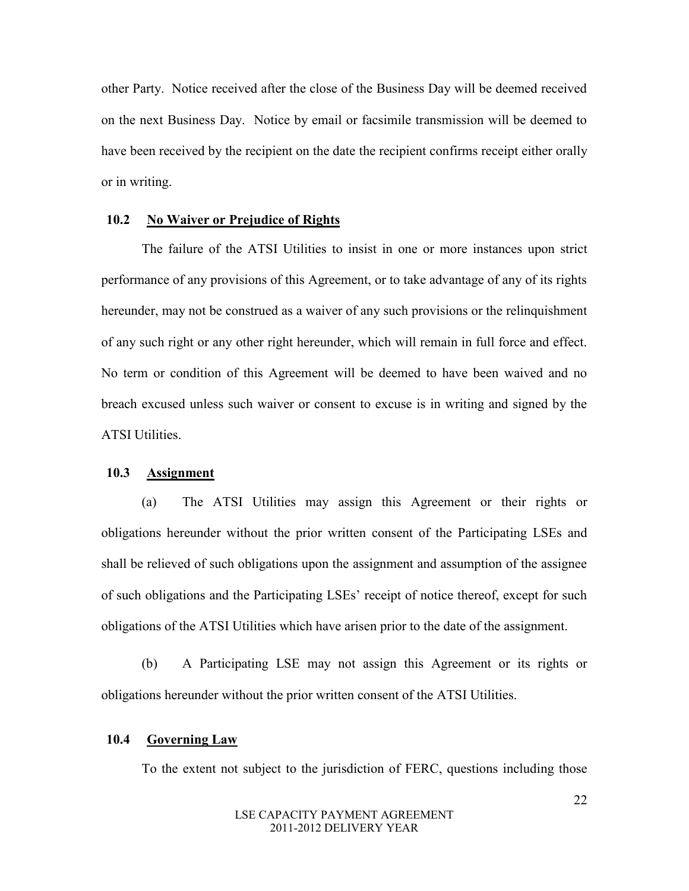other Party. Notice received after the close of the Business Day will be deemed received on the next Business Day. Notice by email or facsimile transmission will be deemed to have been received by the recipient on the date the recipient confirms receipt either orally or in writing.

#### **10.2 No Waiver or Prejudice of Rights**

The failure of the ATSI Utilities to insist in one or more instances upon strict performance of any provisions of this Agreement, or to take advantage of any of its rights hereunder, may not be construed as a waiver of any such provisions or the relinquishment of any such right or any other right hereunder, which will remain in full force and effect. No term or condition of this Agreement will be deemed to have been waived and no breach excused unless such waiver or consent to excuse is in writing and signed by the ATSI Utilities.

#### **10.3 Assignment**

(a) The ATSI Utilities may assign this Agreement or their rights or obligations hereunder without the prior written consent of the Participating LSEs and shall be relieved of such obligations upon the assignment and assumption of the assignee of such obligations and the Participating LSEs' receipt of notice thereof, except for such obligations of the ATSI Utilities which have arisen prior to the date of the assignment.

(b) A Participating LSE may not assign this Agreement or its rights or obligations hereunder without the prior written consent of the ATSI Utilities.

#### **10.4 Governing Law**

To the extent not subject to the jurisdiction of FERC, questions including those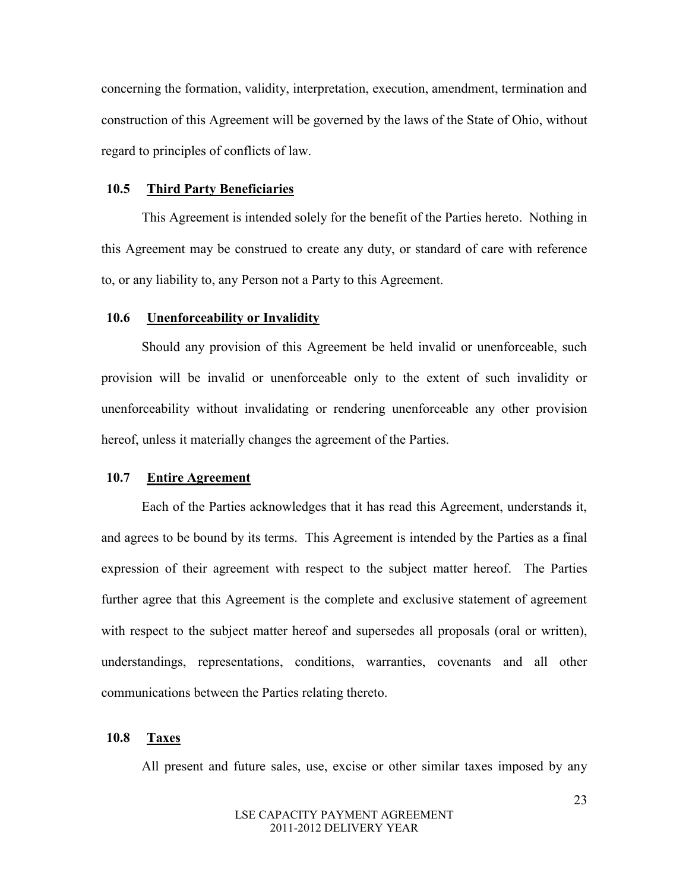concerning the formation, validity, interpretation, execution, amendment, termination and construction of this Agreement will be governed by the laws of the State of Ohio, without regard to principles of conflicts of law.

## **10.5 Third Party Beneficiaries**

This Agreement is intended solely for the benefit of the Parties hereto. Nothing in this Agreement may be construed to create any duty, or standard of care with reference to, or any liability to, any Person not a Party to this Agreement.

#### **10.6 Unenforceability or Invalidity**

Should any provision of this Agreement be held invalid or unenforceable, such provision will be invalid or unenforceable only to the extent of such invalidity or unenforceability without invalidating or rendering unenforceable any other provision hereof, unless it materially changes the agreement of the Parties.

#### **10.7 Entire Agreement**

 Each of the Parties acknowledges that it has read this Agreement, understands it, and agrees to be bound by its terms. This Agreement is intended by the Parties as a final expression of their agreement with respect to the subject matter hereof. The Parties further agree that this Agreement is the complete and exclusive statement of agreement with respect to the subject matter hereof and supersedes all proposals (oral or written), understandings, representations, conditions, warranties, covenants and all other communications between the Parties relating thereto.

#### **10.8 Taxes**

All present and future sales, use, excise or other similar taxes imposed by any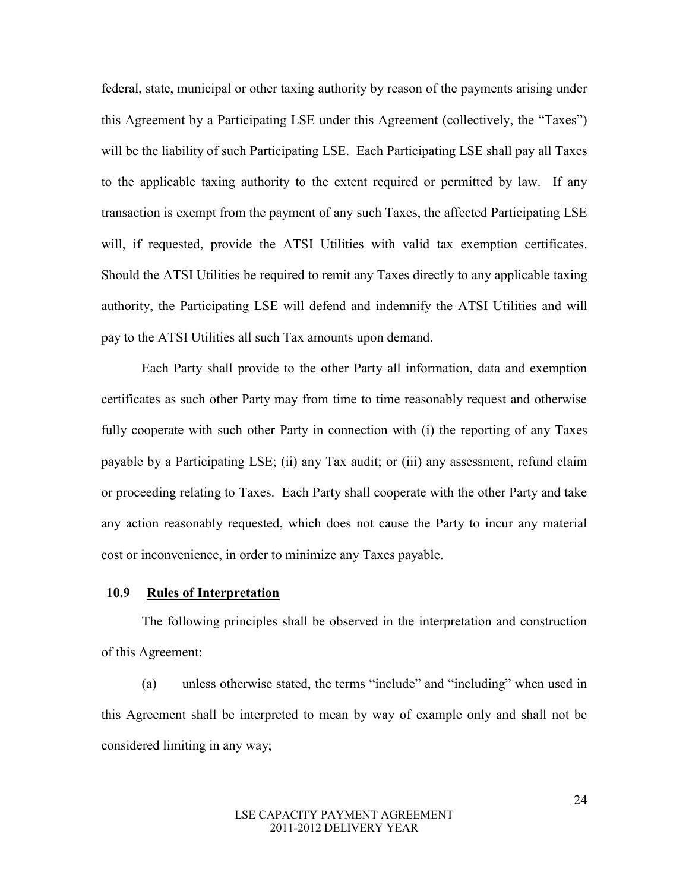federal, state, municipal or other taxing authority by reason of the payments arising under this Agreement by a Participating LSE under this Agreement (collectively, the "Taxes") will be the liability of such Participating LSE. Each Participating LSE shall pay all Taxes to the applicable taxing authority to the extent required or permitted by law. If any transaction is exempt from the payment of any such Taxes, the affected Participating LSE will, if requested, provide the ATSI Utilities with valid tax exemption certificates. Should the ATSI Utilities be required to remit any Taxes directly to any applicable taxing authority, the Participating LSE will defend and indemnify the ATSI Utilities and will pay to the ATSI Utilities all such Tax amounts upon demand.

Each Party shall provide to the other Party all information, data and exemption certificates as such other Party may from time to time reasonably request and otherwise fully cooperate with such other Party in connection with (i) the reporting of any Taxes payable by a Participating LSE; (ii) any Tax audit; or (iii) any assessment, refund claim or proceeding relating to Taxes. Each Party shall cooperate with the other Party and take any action reasonably requested, which does not cause the Party to incur any material cost or inconvenience, in order to minimize any Taxes payable.

#### **10.9 Rules of Interpretation**

The following principles shall be observed in the interpretation and construction of this Agreement:

(a) unless otherwise stated, the terms "include" and "including" when used in this Agreement shall be interpreted to mean by way of example only and shall not be considered limiting in any way;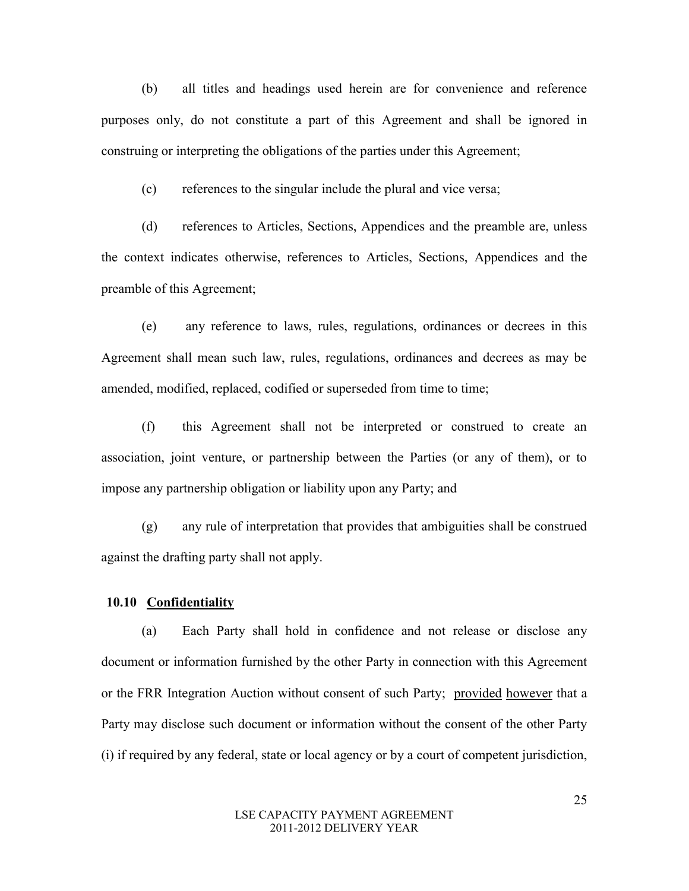(b) all titles and headings used herein are for convenience and reference purposes only, do not constitute a part of this Agreement and shall be ignored in construing or interpreting the obligations of the parties under this Agreement;

(c) references to the singular include the plural and vice versa;

(d) references to Articles, Sections, Appendices and the preamble are, unless the context indicates otherwise, references to Articles, Sections, Appendices and the preamble of this Agreement;

(e) any reference to laws, rules, regulations, ordinances or decrees in this Agreement shall mean such law, rules, regulations, ordinances and decrees as may be amended, modified, replaced, codified or superseded from time to time;

(f) this Agreement shall not be interpreted or construed to create an association, joint venture, or partnership between the Parties (or any of them), or to impose any partnership obligation or liability upon any Party; and

(g) any rule of interpretation that provides that ambiguities shall be construed against the drafting party shall not apply.

### **10.10 Confidentiality**

(a) Each Party shall hold in confidence and not release or disclose any document or information furnished by the other Party in connection with this Agreement or the FRR Integration Auction without consent of such Party; provided however that a Party may disclose such document or information without the consent of the other Party (i) if required by any federal, state or local agency or by a court of competent jurisdiction,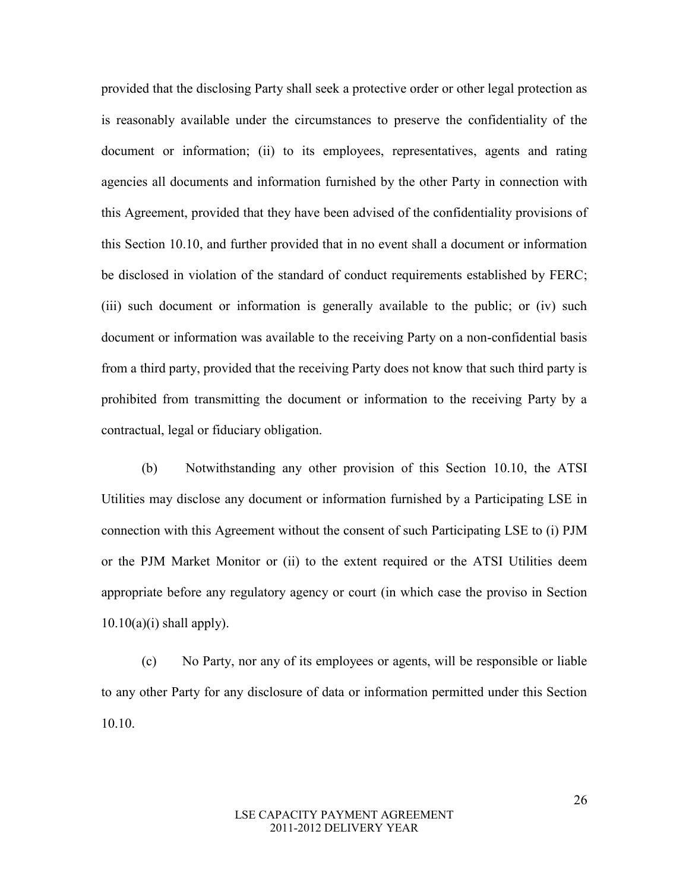provided that the disclosing Party shall seek a protective order or other legal protection as is reasonably available under the circumstances to preserve the confidentiality of the document or information; (ii) to its employees, representatives, agents and rating agencies all documents and information furnished by the other Party in connection with this Agreement, provided that they have been advised of the confidentiality provisions of this Section 10.10, and further provided that in no event shall a document or information be disclosed in violation of the standard of conduct requirements established by FERC; (iii) such document or information is generally available to the public; or (iv) such document or information was available to the receiving Party on a non-confidential basis from a third party, provided that the receiving Party does not know that such third party is prohibited from transmitting the document or information to the receiving Party by a contractual, legal or fiduciary obligation.

(b) Notwithstanding any other provision of this Section 10.10, the ATSI Utilities may disclose any document or information furnished by a Participating LSE in connection with this Agreement without the consent of such Participating LSE to (i) PJM or the PJM Market Monitor or (ii) to the extent required or the ATSI Utilities deem appropriate before any regulatory agency or court (in which case the proviso in Section  $10.10(a)(i)$  shall apply).

(c) No Party, nor any of its employees or agents, will be responsible or liable to any other Party for any disclosure of data or information permitted under this Section 10.10.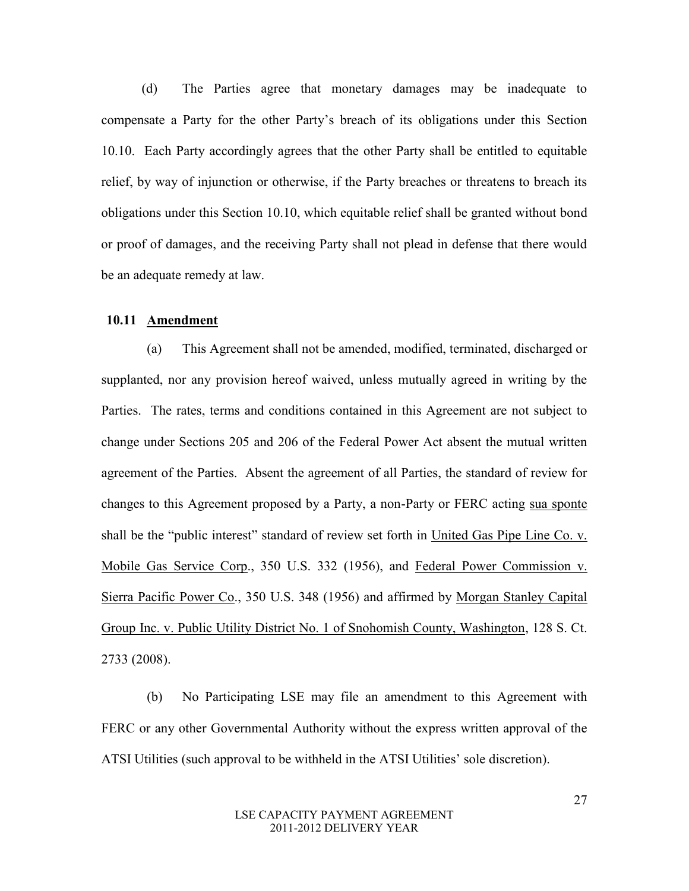(d) The Parties agree that monetary damages may be inadequate to compensate a Party for the other Party's breach of its obligations under this Section 10.10. Each Party accordingly agrees that the other Party shall be entitled to equitable relief, by way of injunction or otherwise, if the Party breaches or threatens to breach its obligations under this Section 10.10, which equitable relief shall be granted without bond or proof of damages, and the receiving Party shall not plead in defense that there would be an adequate remedy at law.

#### **10.11 Amendment**

(a) This Agreement shall not be amended, modified, terminated, discharged or supplanted, nor any provision hereof waived, unless mutually agreed in writing by the Parties. The rates, terms and conditions contained in this Agreement are not subject to change under Sections 205 and 206 of the Federal Power Act absent the mutual written agreement of the Parties. Absent the agreement of all Parties, the standard of review for changes to this Agreement proposed by a Party, a non-Party or FERC acting sua sponte shall be the "public interest" standard of review set forth in United Gas Pipe Line Co. v. Mobile Gas Service Corp., 350 U.S. 332 (1956), and Federal Power Commission v. Sierra Pacific Power Co., 350 U.S. 348 (1956) and affirmed by Morgan Stanley Capital Group Inc. v. Public Utility District No. 1 of Snohomish County, Washington, 128 S. Ct. 2733 (2008).

(b) No Participating LSE may file an amendment to this Agreement with FERC or any other Governmental Authority without the express written approval of the ATSI Utilities (such approval to be withheld in the ATSI Utilities' sole discretion).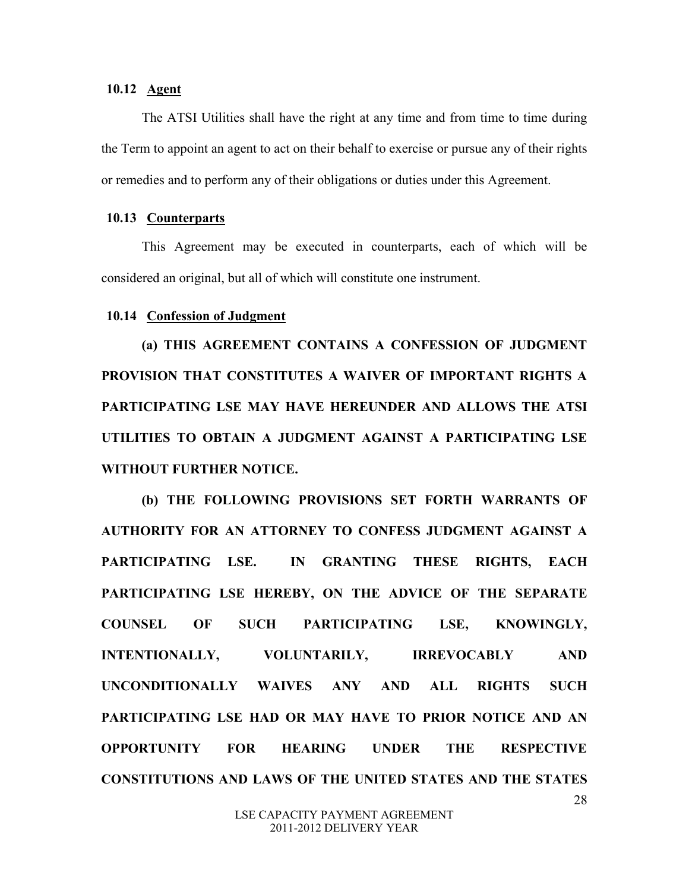## **10.12 Agent**

The ATSI Utilities shall have the right at any time and from time to time during the Term to appoint an agent to act on their behalf to exercise or pursue any of their rights or remedies and to perform any of their obligations or duties under this Agreement.

#### **10.13 Counterparts**

This Agreement may be executed in counterparts, each of which will be considered an original, but all of which will constitute one instrument.

#### **10.14 Confession of Judgment**

**(a) THIS AGREEMENT CONTAINS A CONFESSION OF JUDGMENT PROVISION THAT CONSTITUTES A WAIVER OF IMPORTANT RIGHTS A PARTICIPATING LSE MAY HAVE HEREUNDER AND ALLOWS THE ATSI UTILITIES TO OBTAIN A JUDGMENT AGAINST A PARTICIPATING LSE WITHOUT FURTHER NOTICE.** 

28 **(b) THE FOLLOWING PROVISIONS SET FORTH WARRANTS OF AUTHORITY FOR AN ATTORNEY TO CONFESS JUDGMENT AGAINST A PARTICIPATING LSE. IN GRANTING THESE RIGHTS, EACH PARTICIPATING LSE HEREBY, ON THE ADVICE OF THE SEPARATE COUNSEL OF SUCH PARTICIPATING LSE, KNOWINGLY, INTENTIONALLY, VOLUNTARILY, IRREVOCABLY AND UNCONDITIONALLY WAIVES ANY AND ALL RIGHTS SUCH PARTICIPATING LSE HAD OR MAY HAVE TO PRIOR NOTICE AND AN OPPORTUNITY FOR HEARING UNDER THE RESPECTIVE CONSTITUTIONS AND LAWS OF THE UNITED STATES AND THE STATES**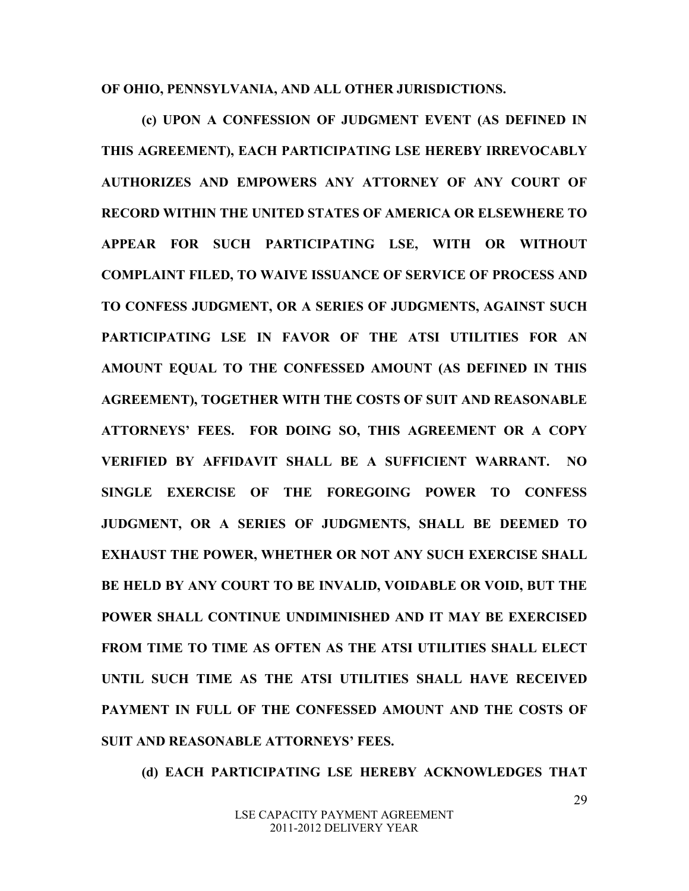**OF OHIO, PENNSYLVANIA, AND ALL OTHER JURISDICTIONS.**

**(c) UPON A CONFESSION OF JUDGMENT EVENT (AS DEFINED IN THIS AGREEMENT), EACH PARTICIPATING LSE HEREBY IRREVOCABLY AUTHORIZES AND EMPOWERS ANY ATTORNEY OF ANY COURT OF RECORD WITHIN THE UNITED STATES OF AMERICA OR ELSEWHERE TO APPEAR FOR SUCH PARTICIPATING LSE, WITH OR WITHOUT COMPLAINT FILED, TO WAIVE ISSUANCE OF SERVICE OF PROCESS AND TO CONFESS JUDGMENT, OR A SERIES OF JUDGMENTS, AGAINST SUCH PARTICIPATING LSE IN FAVOR OF THE ATSI UTILITIES FOR AN AMOUNT EQUAL TO THE CONFESSED AMOUNT (AS DEFINED IN THIS AGREEMENT), TOGETHER WITH THE COSTS OF SUIT AND REASONABLE ATTORNEYS' FEES. FOR DOING SO, THIS AGREEMENT OR A COPY VERIFIED BY AFFIDAVIT SHALL BE A SUFFICIENT WARRANT. NO SINGLE EXERCISE OF THE FOREGOING POWER TO CONFESS JUDGMENT, OR A SERIES OF JUDGMENTS, SHALL BE DEEMED TO EXHAUST THE POWER, WHETHER OR NOT ANY SUCH EXERCISE SHALL BE HELD BY ANY COURT TO BE INVALID, VOIDABLE OR VOID, BUT THE POWER SHALL CONTINUE UNDIMINISHED AND IT MAY BE EXERCISED FROM TIME TO TIME AS OFTEN AS THE ATSI UTILITIES SHALL ELECT UNTIL SUCH TIME AS THE ATSI UTILITIES SHALL HAVE RECEIVED PAYMENT IN FULL OF THE CONFESSED AMOUNT AND THE COSTS OF SUIT AND REASONABLE ATTORNEYS' FEES.** 

**(d) EACH PARTICIPATING LSE HEREBY ACKNOWLEDGES THAT**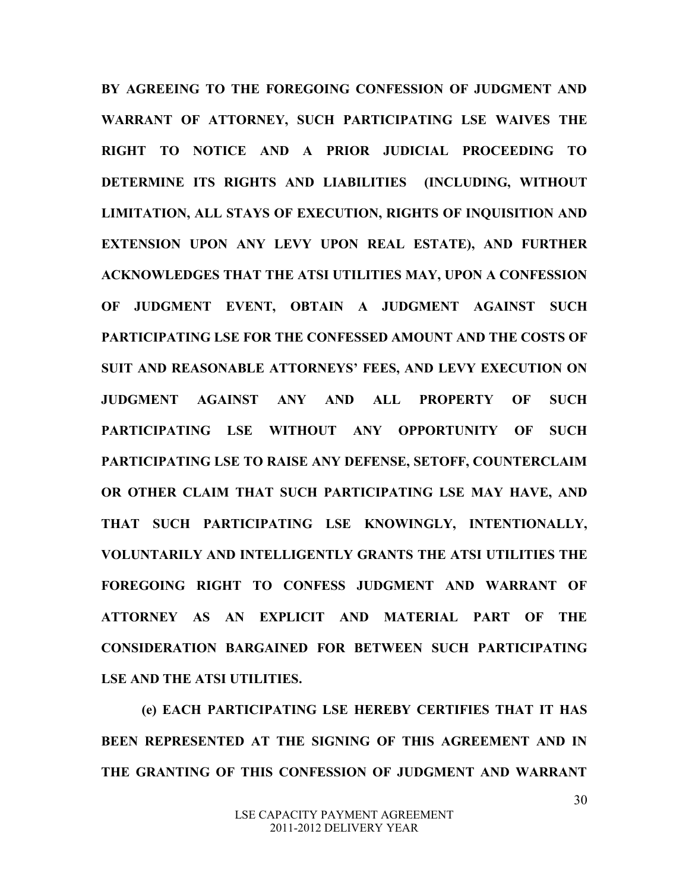**BY AGREEING TO THE FOREGOING CONFESSION OF JUDGMENT AND WARRANT OF ATTORNEY, SUCH PARTICIPATING LSE WAIVES THE RIGHT TO NOTICE AND A PRIOR JUDICIAL PROCEEDING TO DETERMINE ITS RIGHTS AND LIABILITIES (INCLUDING, WITHOUT LIMITATION, ALL STAYS OF EXECUTION, RIGHTS OF INQUISITION AND EXTENSION UPON ANY LEVY UPON REAL ESTATE), AND FURTHER ACKNOWLEDGES THAT THE ATSI UTILITIES MAY, UPON A CONFESSION OF JUDGMENT EVENT, OBTAIN A JUDGMENT AGAINST SUCH PARTICIPATING LSE FOR THE CONFESSED AMOUNT AND THE COSTS OF SUIT AND REASONABLE ATTORNEYS' FEES, AND LEVY EXECUTION ON JUDGMENT AGAINST ANY AND ALL PROPERTY OF SUCH PARTICIPATING LSE WITHOUT ANY OPPORTUNITY OF SUCH PARTICIPATING LSE TO RAISE ANY DEFENSE, SETOFF, COUNTERCLAIM OR OTHER CLAIM THAT SUCH PARTICIPATING LSE MAY HAVE, AND THAT SUCH PARTICIPATING LSE KNOWINGLY, INTENTIONALLY, VOLUNTARILY AND INTELLIGENTLY GRANTS THE ATSI UTILITIES THE FOREGOING RIGHT TO CONFESS JUDGMENT AND WARRANT OF ATTORNEY AS AN EXPLICIT AND MATERIAL PART OF THE CONSIDERATION BARGAINED FOR BETWEEN SUCH PARTICIPATING LSE AND THE ATSI UTILITIES.** 

**(e) EACH PARTICIPATING LSE HEREBY CERTIFIES THAT IT HAS BEEN REPRESENTED AT THE SIGNING OF THIS AGREEMENT AND IN THE GRANTING OF THIS CONFESSION OF JUDGMENT AND WARRANT**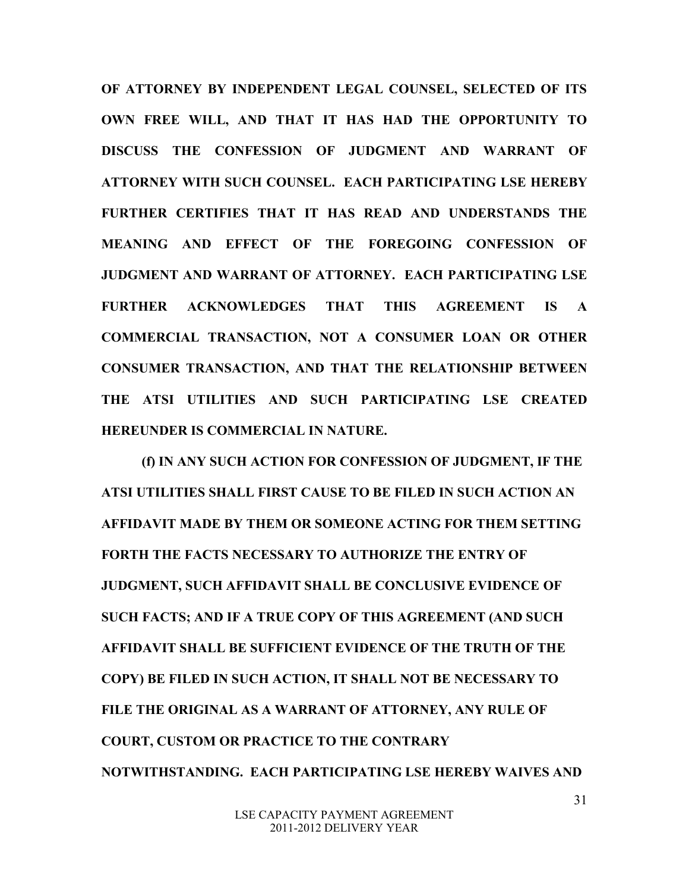**OF ATTORNEY BY INDEPENDENT LEGAL COUNSEL, SELECTED OF ITS OWN FREE WILL, AND THAT IT HAS HAD THE OPPORTUNITY TO DISCUSS THE CONFESSION OF JUDGMENT AND WARRANT OF ATTORNEY WITH SUCH COUNSEL. EACH PARTICIPATING LSE HEREBY FURTHER CERTIFIES THAT IT HAS READ AND UNDERSTANDS THE MEANING AND EFFECT OF THE FOREGOING CONFESSION OF JUDGMENT AND WARRANT OF ATTORNEY. EACH PARTICIPATING LSE FURTHER ACKNOWLEDGES THAT THIS AGREEMENT IS A COMMERCIAL TRANSACTION, NOT A CONSUMER LOAN OR OTHER CONSUMER TRANSACTION, AND THAT THE RELATIONSHIP BETWEEN THE ATSI UTILITIES AND SUCH PARTICIPATING LSE CREATED HEREUNDER IS COMMERCIAL IN NATURE.** 

 **(f) IN ANY SUCH ACTION FOR CONFESSION OF JUDGMENT, IF THE ATSI UTILITIES SHALL FIRST CAUSE TO BE FILED IN SUCH ACTION AN AFFIDAVIT MADE BY THEM OR SOMEONE ACTING FOR THEM SETTING FORTH THE FACTS NECESSARY TO AUTHORIZE THE ENTRY OF JUDGMENT, SUCH AFFIDAVIT SHALL BE CONCLUSIVE EVIDENCE OF SUCH FACTS; AND IF A TRUE COPY OF THIS AGREEMENT (AND SUCH AFFIDAVIT SHALL BE SUFFICIENT EVIDENCE OF THE TRUTH OF THE COPY) BE FILED IN SUCH ACTION, IT SHALL NOT BE NECESSARY TO FILE THE ORIGINAL AS A WARRANT OF ATTORNEY, ANY RULE OF COURT, CUSTOM OR PRACTICE TO THE CONTRARY NOTWITHSTANDING. EACH PARTICIPATING LSE HEREBY WAIVES AND**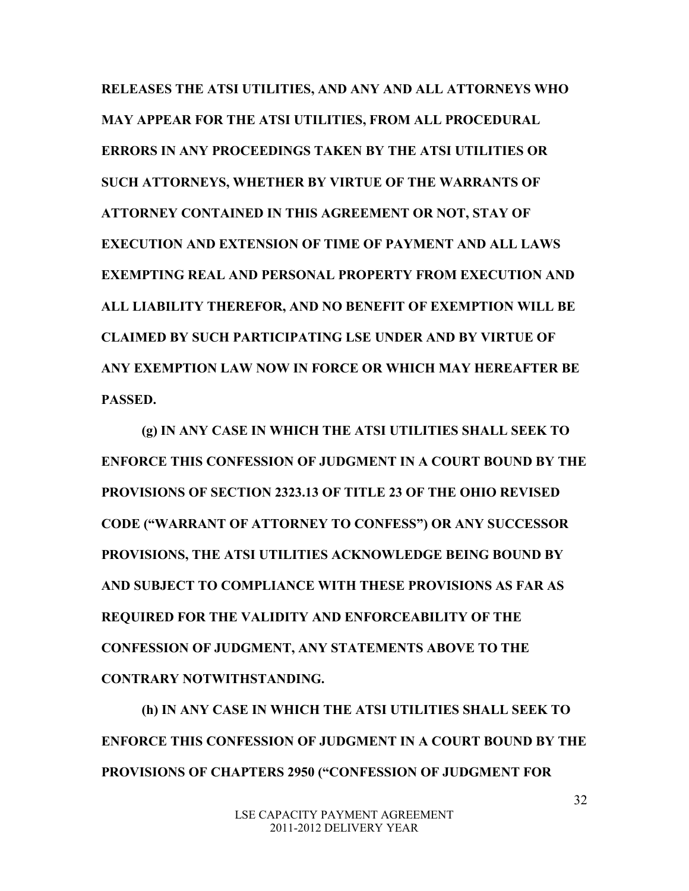**RELEASES THE ATSI UTILITIES, AND ANY AND ALL ATTORNEYS WHO MAY APPEAR FOR THE ATSI UTILITIES, FROM ALL PROCEDURAL ERRORS IN ANY PROCEEDINGS TAKEN BY THE ATSI UTILITIES OR SUCH ATTORNEYS, WHETHER BY VIRTUE OF THE WARRANTS OF ATTORNEY CONTAINED IN THIS AGREEMENT OR NOT, STAY OF EXECUTION AND EXTENSION OF TIME OF PAYMENT AND ALL LAWS EXEMPTING REAL AND PERSONAL PROPERTY FROM EXECUTION AND ALL LIABILITY THEREFOR, AND NO BENEFIT OF EXEMPTION WILL BE CLAIMED BY SUCH PARTICIPATING LSE UNDER AND BY VIRTUE OF ANY EXEMPTION LAW NOW IN FORCE OR WHICH MAY HEREAFTER BE PASSED.** 

 **(g) IN ANY CASE IN WHICH THE ATSI UTILITIES SHALL SEEK TO ENFORCE THIS CONFESSION OF JUDGMENT IN A COURT BOUND BY THE PROVISIONS OF SECTION 2323.13 OF TITLE 23 OF THE OHIO REVISED CODE ("WARRANT OF ATTORNEY TO CONFESS") OR ANY SUCCESSOR PROVISIONS, THE ATSI UTILITIES ACKNOWLEDGE BEING BOUND BY AND SUBJECT TO COMPLIANCE WITH THESE PROVISIONS AS FAR AS REQUIRED FOR THE VALIDITY AND ENFORCEABILITY OF THE CONFESSION OF JUDGMENT, ANY STATEMENTS ABOVE TO THE CONTRARY NOTWITHSTANDING.**

**(h) IN ANY CASE IN WHICH THE ATSI UTILITIES SHALL SEEK TO ENFORCE THIS CONFESSION OF JUDGMENT IN A COURT BOUND BY THE PROVISIONS OF CHAPTERS 2950 ("CONFESSION OF JUDGMENT FOR**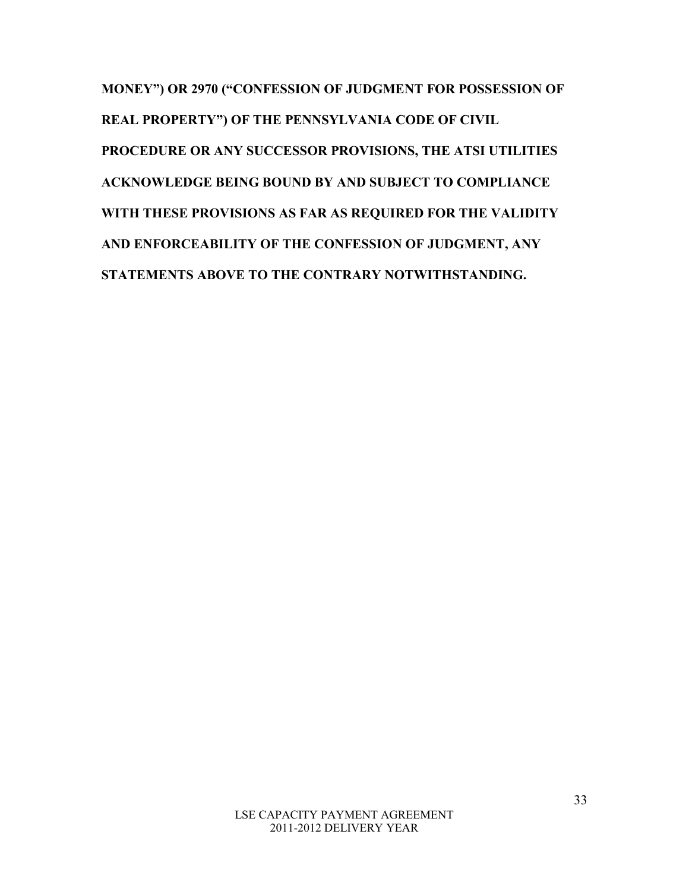**MONEY") OR 2970 ("CONFESSION OF JUDGMENT FOR POSSESSION OF REAL PROPERTY") OF THE PENNSYLVANIA CODE OF CIVIL PROCEDURE OR ANY SUCCESSOR PROVISIONS, THE ATSI UTILITIES ACKNOWLEDGE BEING BOUND BY AND SUBJECT TO COMPLIANCE WITH THESE PROVISIONS AS FAR AS REQUIRED FOR THE VALIDITY AND ENFORCEABILITY OF THE CONFESSION OF JUDGMENT, ANY STATEMENTS ABOVE TO THE CONTRARY NOTWITHSTANDING.**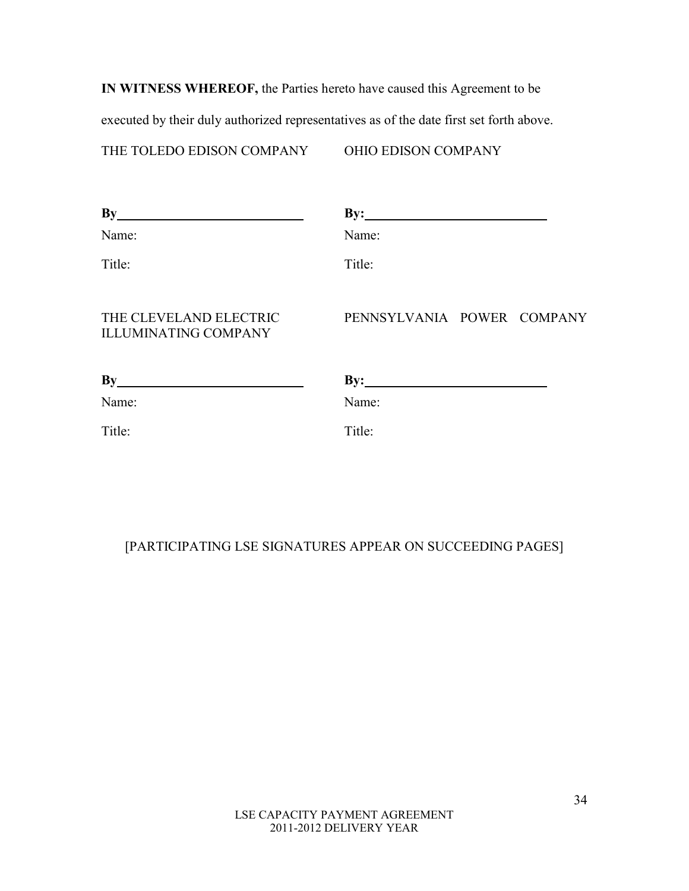**IN WITNESS WHEREOF,** the Parties hereto have caused this Agreement to be

executed by their duly authorized representatives as of the date first set forth above.

THE TOLEDO EDISON COMPANY OHIO EDISON COMPANY

| By                                                    | $\mathbf{By:}\_\ \blacksquare$ |
|-------------------------------------------------------|--------------------------------|
| Name:                                                 | Name:                          |
| Title:                                                | Title:                         |
| THE CLEVELAND ELECTRIC<br><b>ILLUMINATING COMPANY</b> | PENNSYLVANIA POWER COMPANY     |
| By                                                    | $\mathbf{By:}$                 |
| Name:                                                 | Name:                          |
| Title:                                                | Title:                         |
|                                                       |                                |

# [PARTICIPATING LSE SIGNATURES APPEAR ON SUCCEEDING PAGES]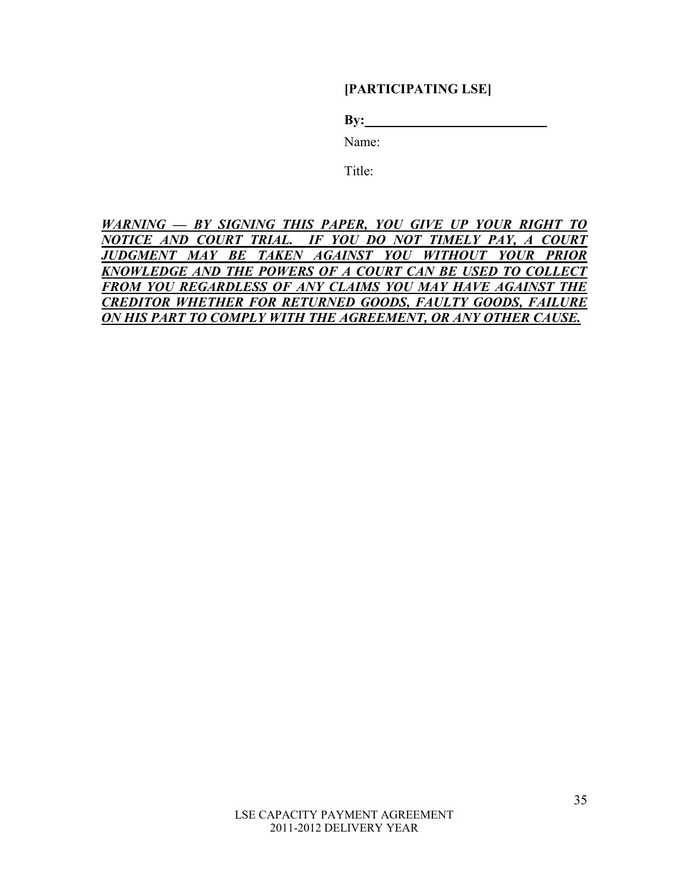**[PARTICIPATING LSE]** 

**By: By:** 

Name:

Title:

*WARNING — BY SIGNING THIS PAPER, YOU GIVE UP YOUR RIGHT TO NOTICE AND COURT TRIAL. IF YOU DO NOT TIMELY PAY, A COURT JUDGMENT MAY BE TAKEN AGAINST YOU WITHOUT YOUR PRIOR KNOWLEDGE AND THE POWERS OF A COURT CAN BE USED TO COLLECT FROM YOU REGARDLESS OF ANY CLAIMS YOU MAY HAVE AGAINST THE CREDITOR WHETHER FOR RETURNED GOODS, FAULTY GOODS, FAILURE ON HIS PART TO COMPLY WITH THE AGREEMENT, OR ANY OTHER CAUSE.*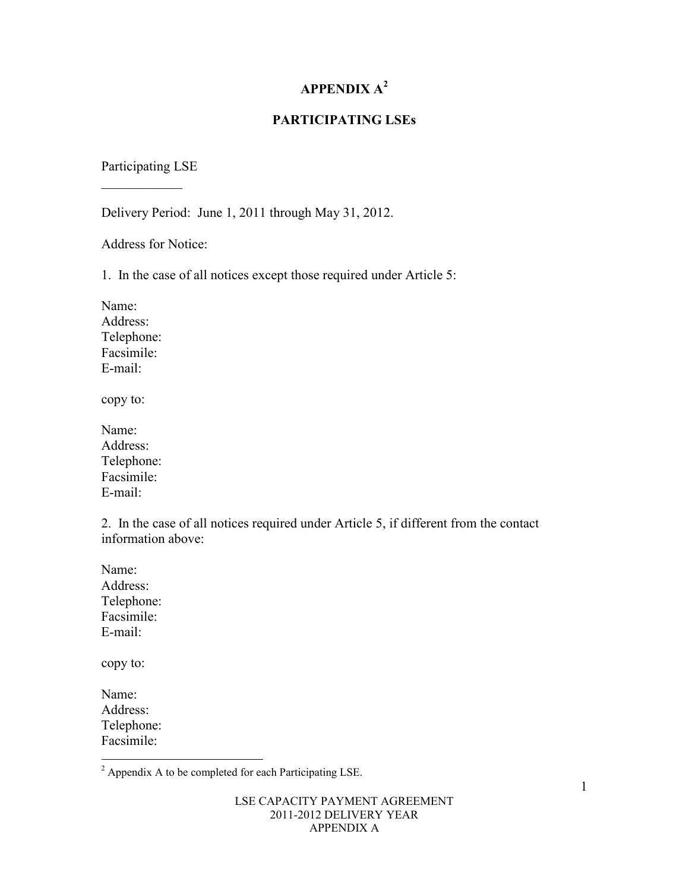# **APPENDIX A<sup>2</sup>**

## **PARTICIPATING LSEs**

#### Participating LSE

 $\mathcal{L}$  , we have the set of  $\mathcal{L}$ 

Delivery Period: June 1, 2011 through May 31, 2012.

Address for Notice:

1. In the case of all notices except those required under Article 5:

Name: Address: Telephone: Facsimile: E-mail:

copy to:

| Name:      |
|------------|
| Address:   |
| Telephone: |
| Facsimile: |
| E-mail:    |

2. In the case of all notices required under Article 5, if different from the contact information above:

Name: Address: Telephone: Facsimile: E-mail:

copy to:

Name: Address: Telephone: Facsimile:

<sup>&</sup>lt;sup>2</sup> Appendix A to be completed for each Participating LSE.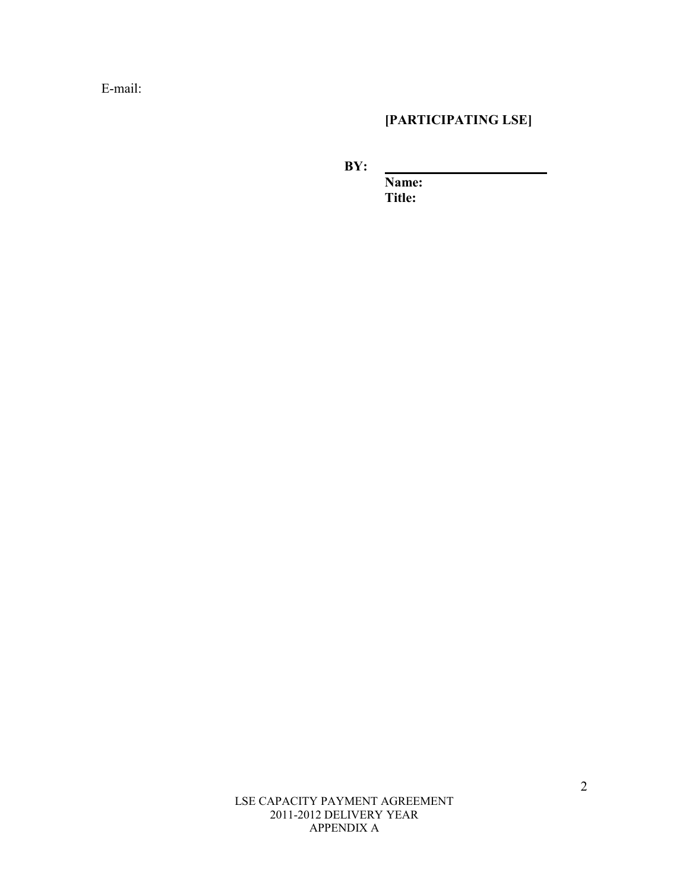E-mail:

# **[PARTICIPATING LSE]**

**BY:**  $\overline{X}$ 

**Name: Title:** 

LSE CAPACITY PAYMENT AGREEMENT 2011-2012 DELIVERY YEAR APPENDIX A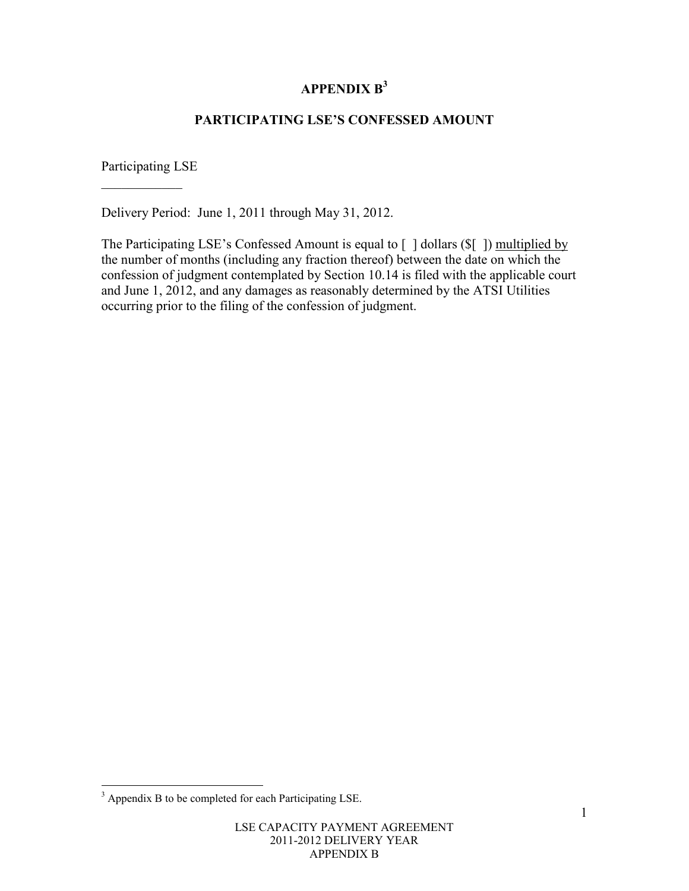# **APPENDIX B<sup>3</sup>**

# **PARTICIPATING LSE'S CONFESSED AMOUNT**

Participating LSE

 $\mathcal{L}$  , we have the set of  $\mathcal{L}$ 

Delivery Period: June 1, 2011 through May 31, 2012.

The Participating LSE's Confessed Amount is equal to [ ] dollars (\$[ ]) multiplied by the number of months (including any fraction thereof) between the date on which the confession of judgment contemplated by Section 10.14 is filed with the applicable court and June 1, 2012, and any damages as reasonably determined by the ATSI Utilities occurring prior to the filing of the confession of judgment.

<sup>&</sup>lt;sup>3</sup> Appendix B to be completed for each Participating LSE.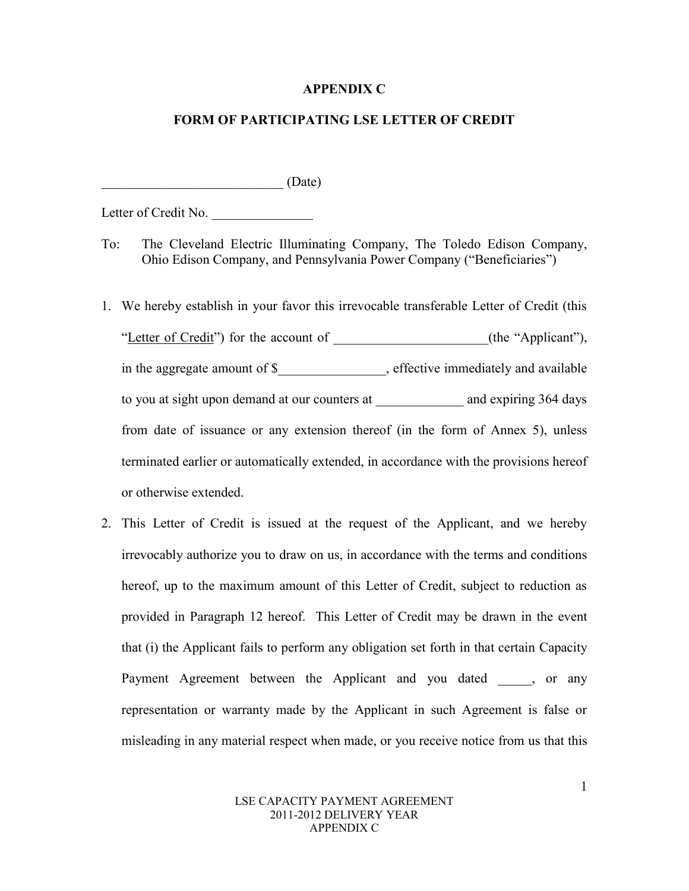#### **APPENDIX C**

#### **FORM OF PARTICIPATING LSE LETTER OF CREDIT**

 $(Date)$ 

Letter of Credit No.

- To: The Cleveland Electric Illuminating Company, The Toledo Edison Company, Ohio Edison Company, and Pennsylvania Power Company ("Beneficiaries")
- 1. We hereby establish in your favor this irrevocable transferable Letter of Credit (this "Letter of Credit") for the account of  $($ the "Applicant"), in the aggregate amount of \$\_\_\_\_\_\_\_\_\_\_\_\_\_\_\_\_, effective immediately and available to you at sight upon demand at our counters at and expiring 364 days from date of issuance or any extension thereof (in the form of Annex 5), unless terminated earlier or automatically extended, in accordance with the provisions hereof or otherwise extended.
- 2. This Letter of Credit is issued at the request of the Applicant, and we hereby irrevocably authorize you to draw on us, in accordance with the terms and conditions hereof, up to the maximum amount of this Letter of Credit, subject to reduction as provided in Paragraph 12 hereof. This Letter of Credit may be drawn in the event that (i) the Applicant fails to perform any obligation set forth in that certain Capacity Payment Agreement between the Applicant and you dated , or any representation or warranty made by the Applicant in such Agreement is false or misleading in any material respect when made, or you receive notice from us that this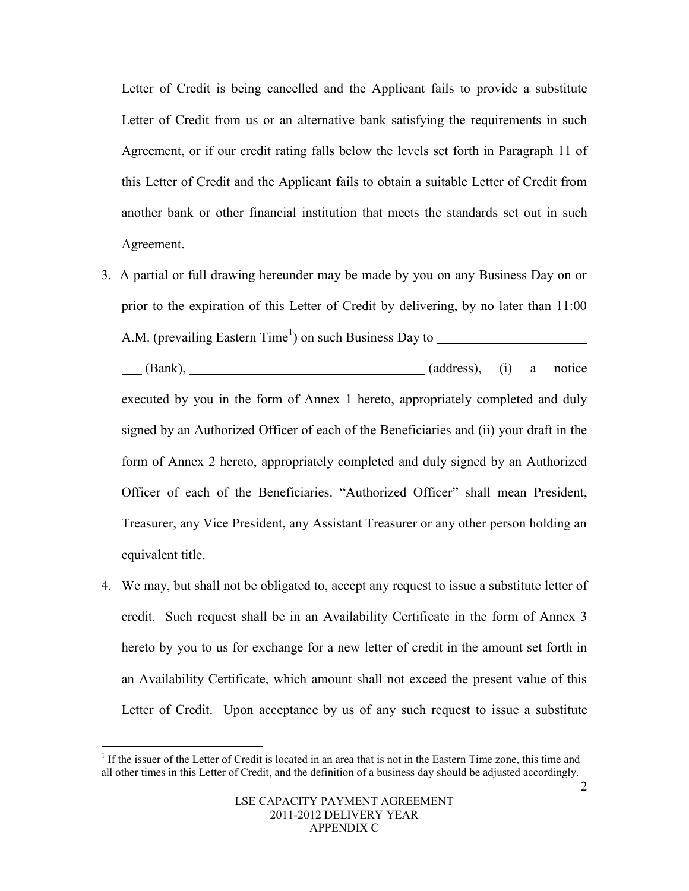Letter of Credit is being cancelled and the Applicant fails to provide a substitute Letter of Credit from us or an alternative bank satisfying the requirements in such Agreement, or if our credit rating falls below the levels set forth in Paragraph 11 of this Letter of Credit and the Applicant fails to obtain a suitable Letter of Credit from another bank or other financial institution that meets the standards set out in such Agreement.

3. A partial or full drawing hereunder may be made by you on any Business Day on or prior to the expiration of this Letter of Credit by delivering, by no later than 11:00 A.M. (prevailing Eastern Time<sup>1</sup>) on such Business Day to

(Bank), (and the same contract of the same contract of the same contract of the same contract of the same contract of the same contract of the same contract of the same contract of the same contract of the same contract of executed by you in the form of Annex 1 hereto, appropriately completed and duly signed by an Authorized Officer of each of the Beneficiaries and (ii) your draft in the form of Annex 2 hereto, appropriately completed and duly signed by an Authorized Officer of each of the Beneficiaries. "Authorized Officer" shall mean President, Treasurer, any Vice President, any Assistant Treasurer or any other person holding an equivalent title.

4. We may, but shall not be obligated to, accept any request to issue a substitute letter of credit. Such request shall be in an Availability Certificate in the form of Annex 3 hereto by you to us for exchange for a new letter of credit in the amount set forth in an Availability Certificate, which amount shall not exceed the present value of this Letter of Credit. Upon acceptance by us of any such request to issue a substitute

 $\overline{a}$ 

<sup>&</sup>lt;sup>1</sup> If the issuer of the Letter of Credit is located in an area that is not in the Eastern Time zone, this time and all other times in this Letter of Credit, and the definition of a business day should be adjusted accordingly.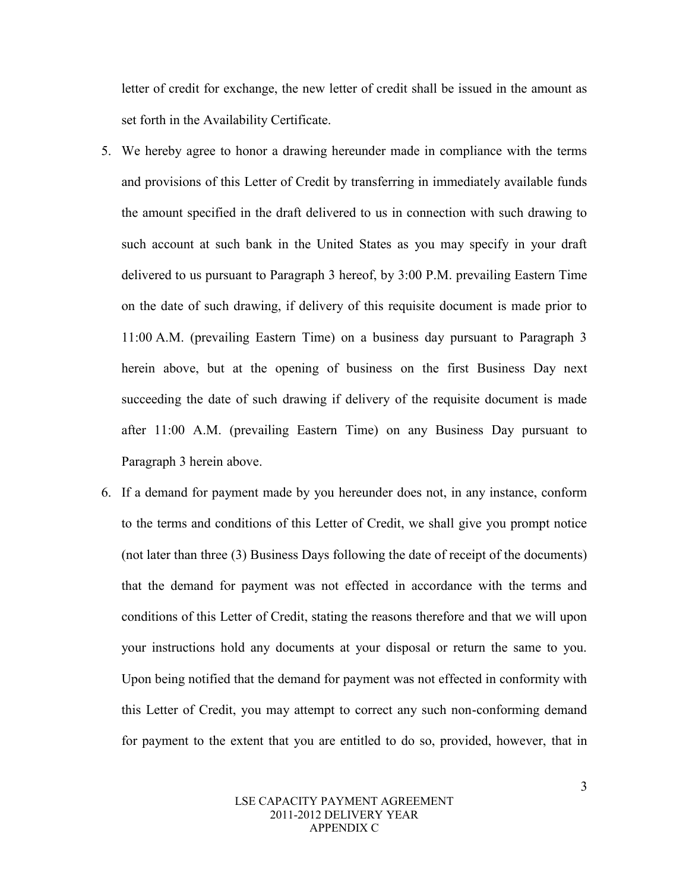letter of credit for exchange, the new letter of credit shall be issued in the amount as set forth in the Availability Certificate.

- 5. We hereby agree to honor a drawing hereunder made in compliance with the terms and provisions of this Letter of Credit by transferring in immediately available funds the amount specified in the draft delivered to us in connection with such drawing to such account at such bank in the United States as you may specify in your draft delivered to us pursuant to Paragraph 3 hereof, by 3:00 P.M. prevailing Eastern Time on the date of such drawing, if delivery of this requisite document is made prior to 11:00 A.M. (prevailing Eastern Time) on a business day pursuant to Paragraph 3 herein above, but at the opening of business on the first Business Day next succeeding the date of such drawing if delivery of the requisite document is made after 11:00 A.M. (prevailing Eastern Time) on any Business Day pursuant to Paragraph 3 herein above.
- 6. If a demand for payment made by you hereunder does not, in any instance, conform to the terms and conditions of this Letter of Credit, we shall give you prompt notice (not later than three (3) Business Days following the date of receipt of the documents) that the demand for payment was not effected in accordance with the terms and conditions of this Letter of Credit, stating the reasons therefore and that we will upon your instructions hold any documents at your disposal or return the same to you. Upon being notified that the demand for payment was not effected in conformity with this Letter of Credit, you may attempt to correct any such non-conforming demand for payment to the extent that you are entitled to do so, provided, however, that in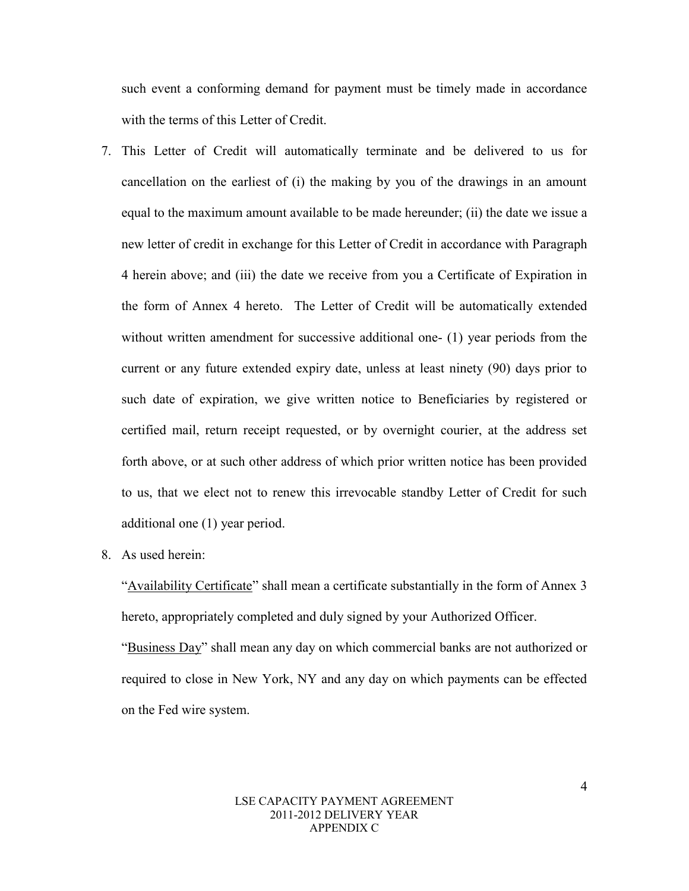such event a conforming demand for payment must be timely made in accordance with the terms of this Letter of Credit.

- 7. This Letter of Credit will automatically terminate and be delivered to us for cancellation on the earliest of (i) the making by you of the drawings in an amount equal to the maximum amount available to be made hereunder; (ii) the date we issue a new letter of credit in exchange for this Letter of Credit in accordance with Paragraph 4 herein above; and (iii) the date we receive from you a Certificate of Expiration in the form of Annex 4 hereto. The Letter of Credit will be automatically extended without written amendment for successive additional one- (1) year periods from the current or any future extended expiry date, unless at least ninety (90) days prior to such date of expiration, we give written notice to Beneficiaries by registered or certified mail, return receipt requested, or by overnight courier, at the address set forth above, or at such other address of which prior written notice has been provided to us, that we elect not to renew this irrevocable standby Letter of Credit for such additional one (1) year period.
- 8. As used herein:

"Availability Certificate" shall mean a certificate substantially in the form of Annex 3 hereto, appropriately completed and duly signed by your Authorized Officer.

"Business Day" shall mean any day on which commercial banks are not authorized or required to close in New York, NY and any day on which payments can be effected on the Fed wire system.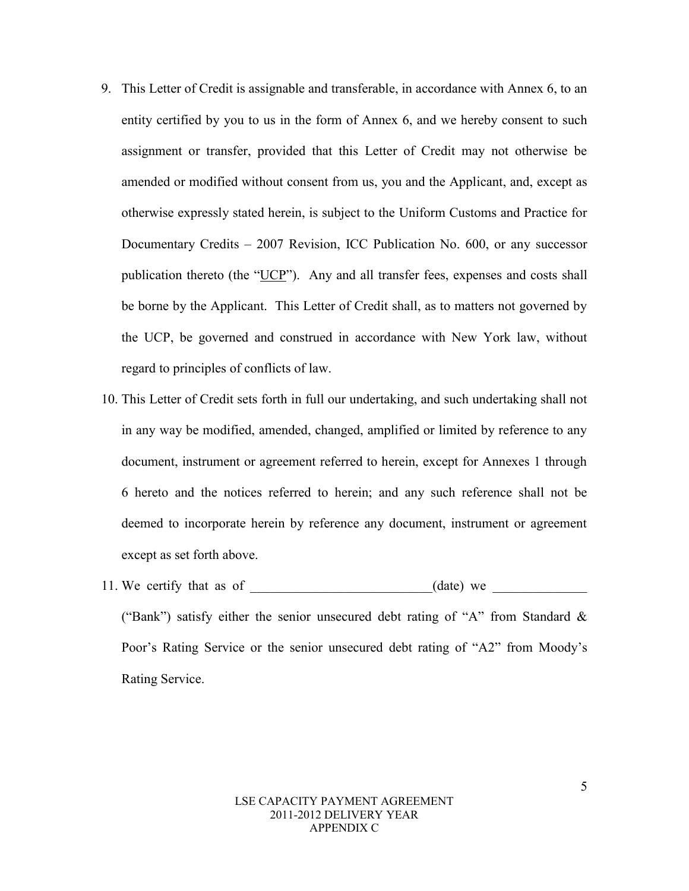- 9. This Letter of Credit is assignable and transferable, in accordance with Annex 6, to an entity certified by you to us in the form of Annex 6, and we hereby consent to such assignment or transfer, provided that this Letter of Credit may not otherwise be amended or modified without consent from us, you and the Applicant, and, except as otherwise expressly stated herein, is subject to the Uniform Customs and Practice for Documentary Credits – 2007 Revision, ICC Publication No. 600, or any successor publication thereto (the "UCP"). Any and all transfer fees, expenses and costs shall be borne by the Applicant. This Letter of Credit shall, as to matters not governed by the UCP, be governed and construed in accordance with New York law, without regard to principles of conflicts of law.
- 10. This Letter of Credit sets forth in full our undertaking, and such undertaking shall not in any way be modified, amended, changed, amplified or limited by reference to any document, instrument or agreement referred to herein, except for Annexes 1 through 6 hereto and the notices referred to herein; and any such reference shall not be deemed to incorporate herein by reference any document, instrument or agreement except as set forth above.
- 11. We certify that as of  $(date)$  we ("Bank") satisfy either the senior unsecured debt rating of "A" from Standard & Poor's Rating Service or the senior unsecured debt rating of "A2" from Moody's Rating Service.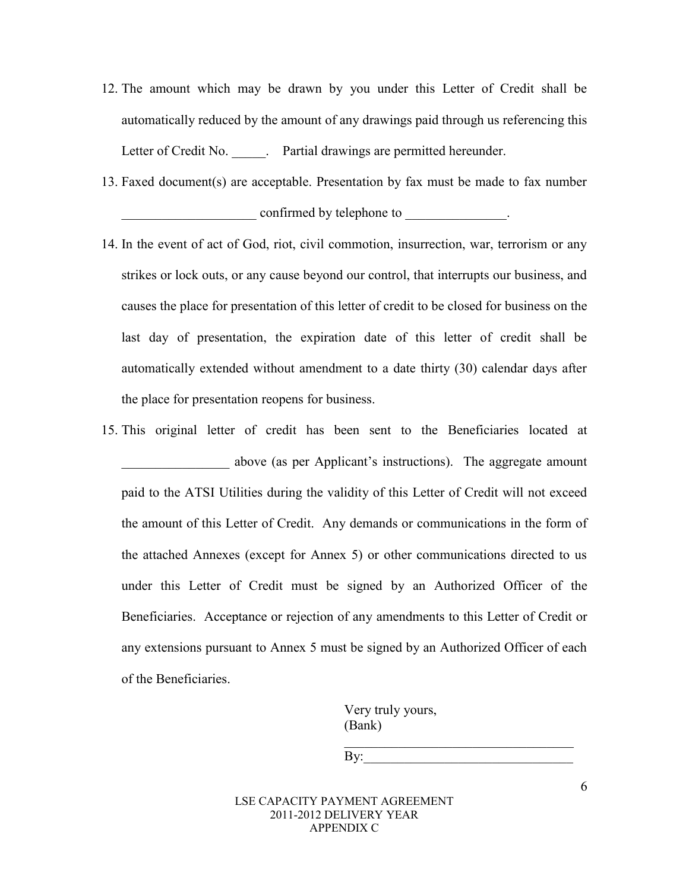- 12. The amount which may be drawn by you under this Letter of Credit shall be automatically reduced by the amount of any drawings paid through us referencing this Letter of Credit No. **.** Partial drawings are permitted hereunder.
- 13. Faxed document(s) are acceptable. Presentation by fax must be made to fax number confirmed by telephone to \_\_\_\_\_\_\_\_\_\_\_\_\_.
- 14. In the event of act of God, riot, civil commotion, insurrection, war, terrorism or any strikes or lock outs, or any cause beyond our control, that interrupts our business, and causes the place for presentation of this letter of credit to be closed for business on the last day of presentation, the expiration date of this letter of credit shall be automatically extended without amendment to a date thirty (30) calendar days after the place for presentation reopens for business.
- 15. This original letter of credit has been sent to the Beneficiaries located at \_\_\_\_\_\_\_\_\_\_\_\_\_\_\_\_ above (as per Applicant's instructions). The aggregate amount paid to the ATSI Utilities during the validity of this Letter of Credit will not exceed the amount of this Letter of Credit. Any demands or communications in the form of the attached Annexes (except for Annex 5) or other communications directed to us under this Letter of Credit must be signed by an Authorized Officer of the Beneficiaries. Acceptance or rejection of any amendments to this Letter of Credit or any extensions pursuant to Annex 5 must be signed by an Authorized Officer of each of the Beneficiaries.

 Very truly yours, (Bank)

 $\mathbf{B} \mathbf{y}$ :

 $\overline{\phantom{a}}$  , which is a set of the set of the set of the set of the set of the set of the set of the set of the set of the set of the set of the set of the set of the set of the set of the set of the set of the set of th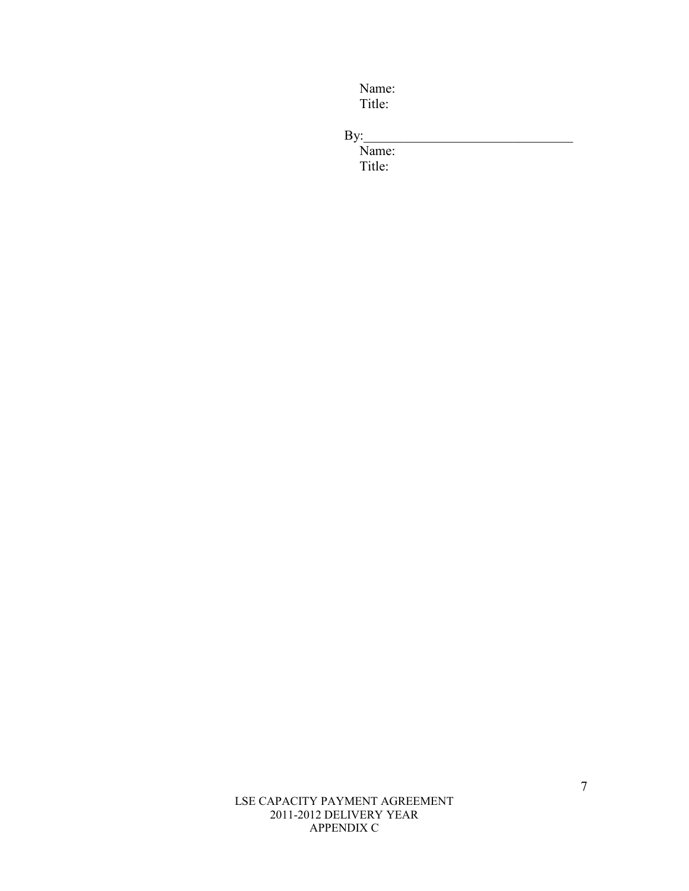Name: Title:

 $\mathrm{By}$ :

Name: Title:

> LSE CAPACITY PAYMENT AGREEMENT 2011-2012 DELIVERY YEAR APPENDIX C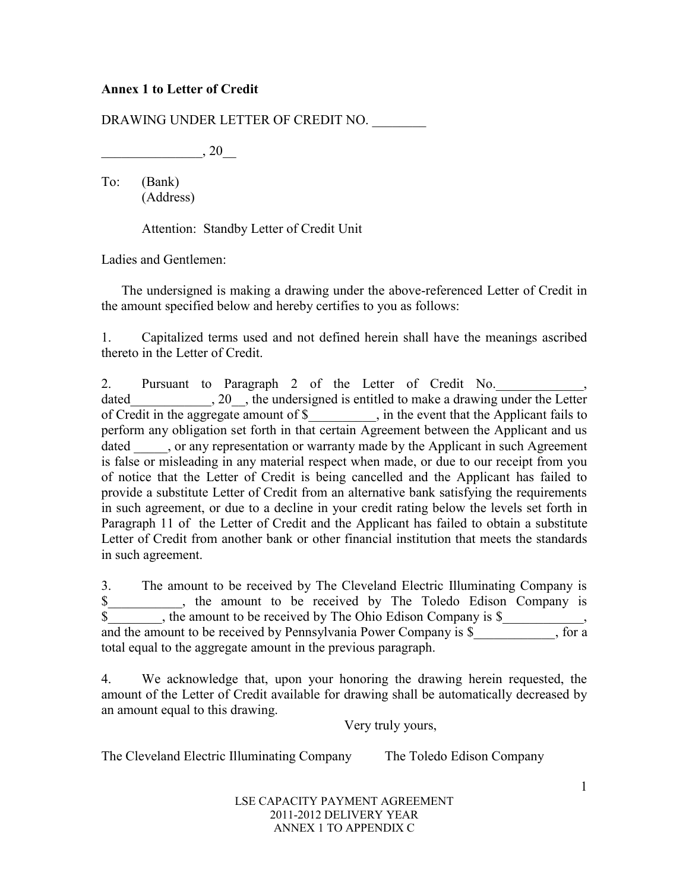## **Annex 1 to Letter of Credit**

DRAWING UNDER LETTER OF CREDIT NO.

 $, 20$ 

To: (Bank) (Address)

Attention: Standby Letter of Credit Unit

Ladies and Gentlemen:

 The undersigned is making a drawing under the above-referenced Letter of Credit in the amount specified below and hereby certifies to you as follows:

1. Capitalized terms used and not defined herein shall have the meanings ascribed thereto in the Letter of Credit.

2. Pursuant to Paragraph 2 of the Letter of Credit No. dated 20, the undersigned is entitled to make a drawing under the Letter of Credit in the aggregate amount of \$\_\_\_\_\_\_\_\_\_\_, in the event that the Applicant fails to perform any obligation set forth in that certain Agreement between the Applicant and us dated can conserve that the View of the Applicant in such Agreement in such Agreement is false or misleading in any material respect when made, or due to our receipt from you of notice that the Letter of Credit is being cancelled and the Applicant has failed to provide a substitute Letter of Credit from an alternative bank satisfying the requirements in such agreement, or due to a decline in your credit rating below the levels set forth in Paragraph 11 of the Letter of Credit and the Applicant has failed to obtain a substitute Letter of Credit from another bank or other financial institution that meets the standards in such agreement.

3. The amount to be received by The Cleveland Electric Illuminating Company is \$\_\_\_\_\_\_\_\_\_\_\_, the amount to be received by The Toledo Edison Company is \$<br>Buch the amount to be received by The Ohio Edison Company is \$ and the amount to be received by Pennsylvania Power Company is  $\overline{\S}$ , for a total equal to the aggregate amount in the previous paragraph.

4. We acknowledge that, upon your honoring the drawing herein requested, the amount of the Letter of Credit available for drawing shall be automatically decreased by an amount equal to this drawing.

Very truly yours,

The Cleveland Electric Illuminating Company The Toledo Edison Company

LSE CAPACITY PAYMENT AGREEMENT 2011-2012 DELIVERY YEAR ANNEX 1 TO APPENDIX C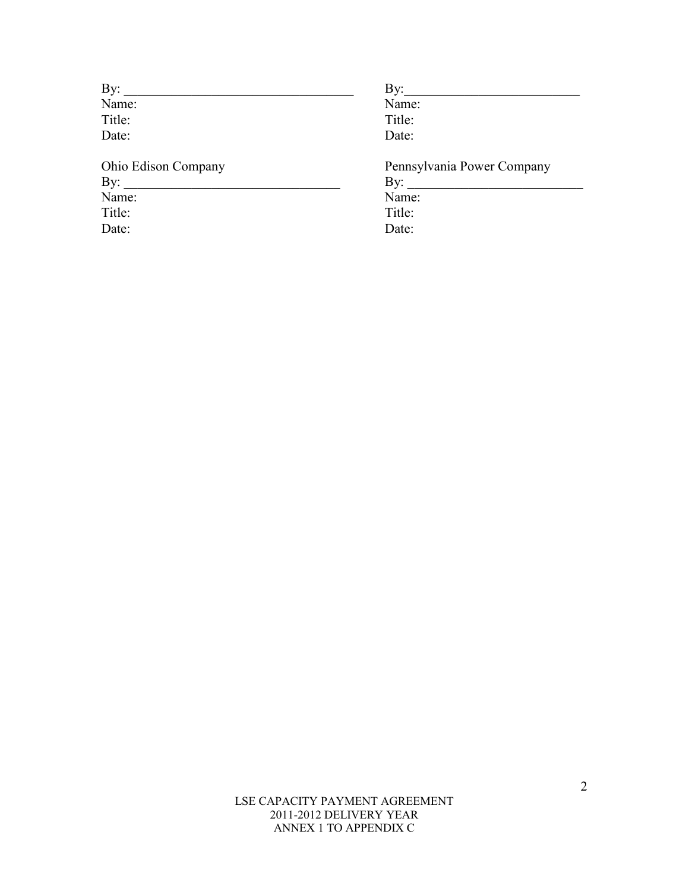| By:                 | By:                        |
|---------------------|----------------------------|
| Name:               | Name:                      |
| Title:              | Title:                     |
| Date:               | Date:                      |
| Ohio Edison Company | Pennsylvania Power Company |
|                     | By: $\qquad \qquad$        |
| Name:               | Name:                      |
| Title:              | Title:                     |
| Date:               | Date:                      |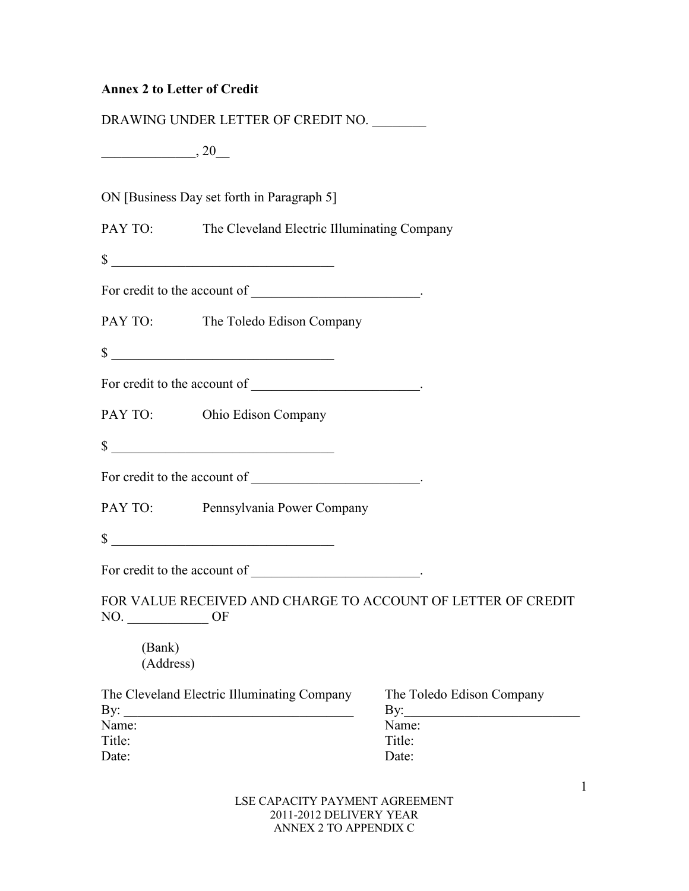# **Annex 2 to Letter of Credit**

|                     | DRAWING UNDER LETTER OF CREDIT NO.                                                                                   |                                                              |
|---------------------|----------------------------------------------------------------------------------------------------------------------|--------------------------------------------------------------|
| $\frac{1}{20}$ , 20 |                                                                                                                      |                                                              |
|                     | ON [Business Day set forth in Paragraph 5]                                                                           |                                                              |
|                     | PAY TO: The Cleveland Electric Illuminating Company                                                                  |                                                              |
|                     | $\sim$ $\sim$                                                                                                        |                                                              |
|                     |                                                                                                                      |                                                              |
|                     | PAY TO: The Toledo Edison Company                                                                                    |                                                              |
|                     | $\sim$                                                                                                               |                                                              |
|                     |                                                                                                                      |                                                              |
|                     | PAY TO: Ohio Edison Company                                                                                          |                                                              |
|                     | $\sim$                                                                                                               |                                                              |
|                     | For credit to the account of $\qquad \qquad$                                                                         |                                                              |
|                     | PAY TO: Pennsylvania Power Company                                                                                   |                                                              |
|                     | $\sim$                                                                                                               |                                                              |
|                     | For credit to the account of $\qquad \qquad$                                                                         |                                                              |
| NO.                 | OF                                                                                                                   | FOR VALUE RECEIVED AND CHARGE TO ACCOUNT OF LETTER OF CREDIT |
| (Bank)<br>(Address) |                                                                                                                      |                                                              |
| By:                 | The Cleveland Electric Illuminating Company                                                                          | The Toledo Edison Company<br>By:                             |
| Name:               | <u> 1989 - Johann John Stone, mars eta bainar eta bainar eta baina eta baina eta baina eta baina eta baina eta b</u> | Name:                                                        |
| Title:<br>Date:     |                                                                                                                      | Title:<br>Date:                                              |
|                     |                                                                                                                      |                                                              |

LSE CAPACITY PAYMENT AGREEMENT 2011-2012 DELIVERY YEAR ANNEX 2 TO APPENDIX C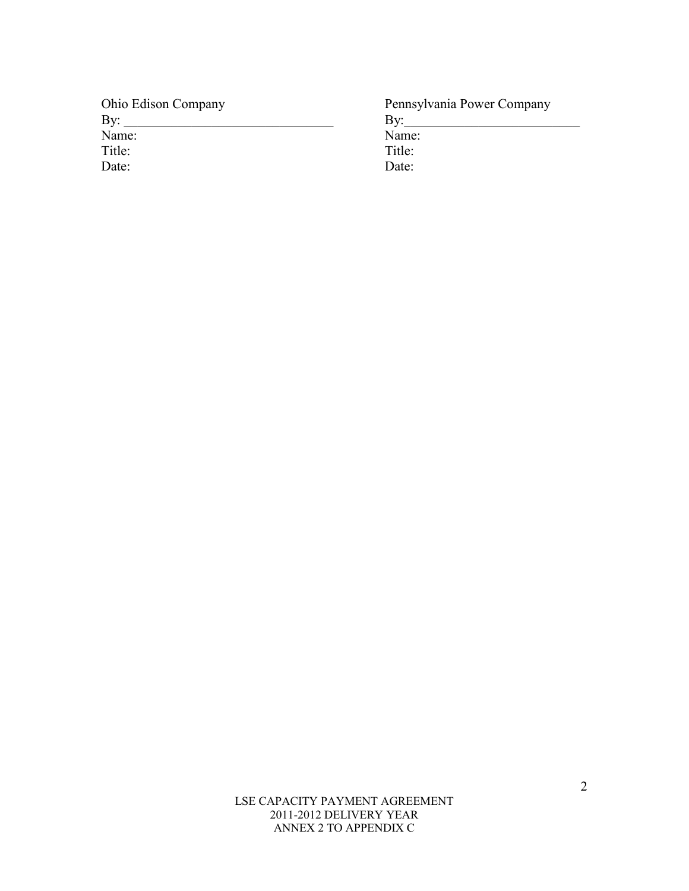| <b>Ohio Edison Company</b> | Pennsylvania Power Company |
|----------------------------|----------------------------|
| By:                        | Bv                         |
| Name:                      | Name:                      |
| Title:                     | Title:                     |
| Date:                      | Date:                      |

LSE CAPACITY PAYMENT AGREEMENT 2011-2012 DELIVERY YEAR ANNEX 2 TO APPENDIX C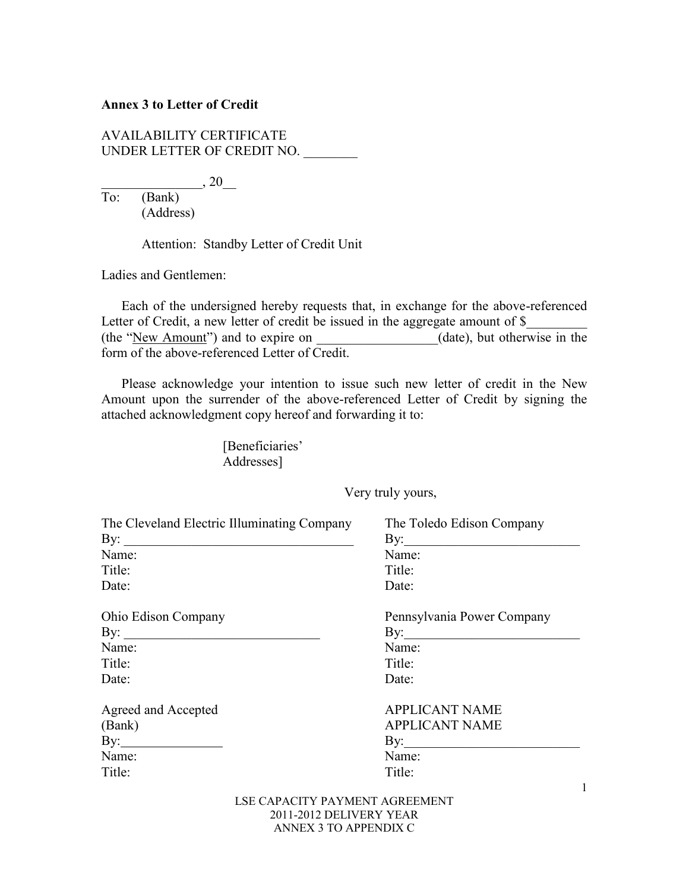#### **Annex 3 to Letter of Credit**

AVAILABILITY CERTIFICATE UNDER LETTER OF CREDIT NO. \_\_\_\_\_\_\_\_

 $\frac{}{\text{To}' \quad \text{(Bank)}}$ , 20\_  $\overline{(Bank)}$ (Address)

Attention: Standby Letter of Credit Unit

Ladies and Gentlemen:

 Each of the undersigned hereby requests that, in exchange for the above-referenced Letter of Credit, a new letter of credit be issued in the aggregate amount of \$ (the "<u>New Amount</u>") and to expire on \_\_\_\_\_\_\_\_\_\_\_\_\_\_(date), but otherwise in the form of the above-referenced Letter of Credit.

 Please acknowledge your intention to issue such new letter of credit in the New Amount upon the surrender of the above-referenced Letter of Credit by signing the attached acknowledgment copy hereof and forwarding it to:

> [Beneficiaries' Addresses]

> > Very truly yours,

| The Cleveland Electric Illuminating Company | The Toledo Edison Company   |
|---------------------------------------------|-----------------------------|
| By:                                         | By: $\qquad \qquad$         |
| Name:                                       | Name:                       |
| Title:                                      | Title:                      |
| Date:                                       | Date:                       |
| <b>Ohio Edison Company</b>                  | Pennsylvania Power Company  |
| By: $\qquad \qquad$                         | By: $\frac{1}{\sqrt{2\pi}}$ |
| Name:                                       | Name:                       |
| Title:                                      | Title:                      |
| Date:                                       | Date:                       |
| Agreed and Accepted                         | <b>APPLICANT NAME</b>       |
| (Bank)                                      | <b>APPLICANT NAME</b>       |
| By: $\qquad \qquad$                         | By: $\qquad \qquad$         |
| Name:                                       | Name:                       |
| Title:                                      | Title:                      |
| LEE CADACITY DAVMENT ACDEEMENT              |                             |

LSE CAPACITY PAYMENT AGREEMENT 2011-2012 DELIVERY YEAR ANNEX 3 TO APPENDIX C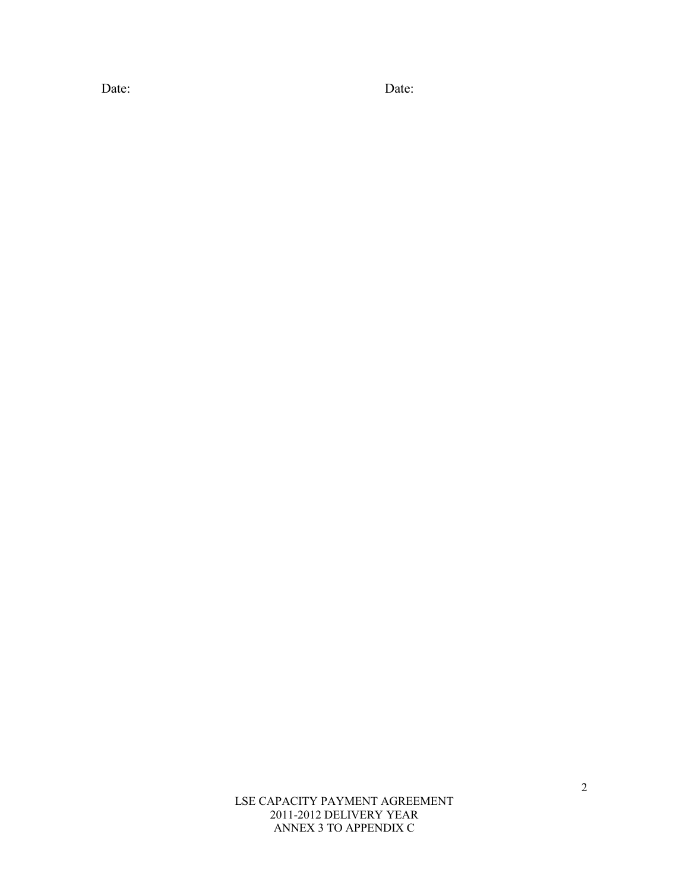Date: Date:

LSE CAPACITY PAYMENT AGREEMENT 2011-2012 DELIVERY YEAR ANNEX 3 TO APPENDIX C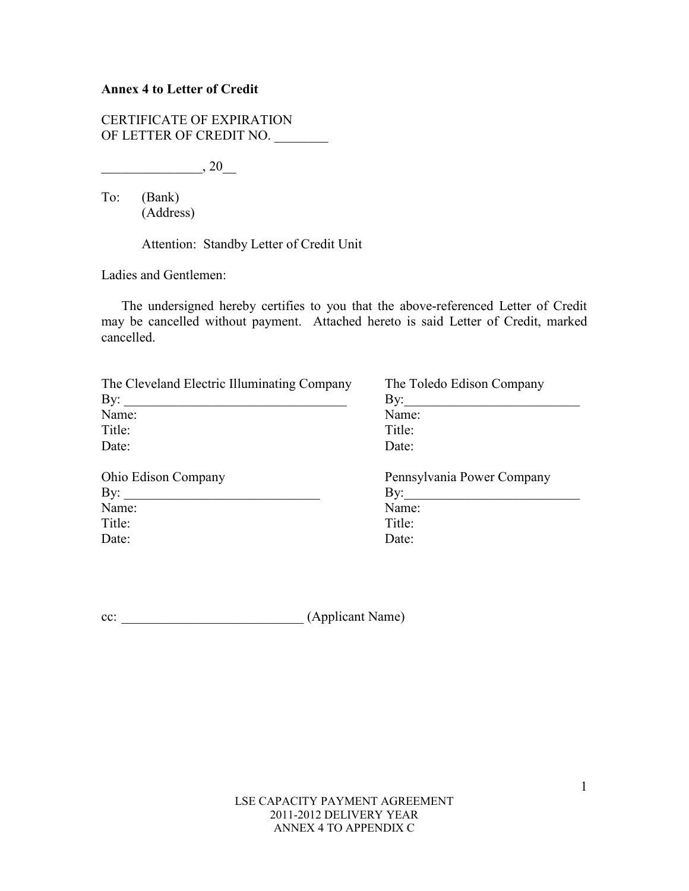## **Annex 4 to Letter of Credit**

CERTIFICATE OF EXPIRATION OF LETTER OF CREDIT NO.

 $\frac{1}{20}$ , 20

To: (Bank) (Address)

Attention: Standby Letter of Credit Unit

Ladies and Gentlemen:

 The undersigned hereby certifies to you that the above-referenced Letter of Credit may be cancelled without payment. Attached hereto is said Letter of Credit, marked cancelled.

| The Cleveland Electric Illuminating Company | The Toledo Edison Company  |
|---------------------------------------------|----------------------------|
| By:                                         | By:                        |
| Name:                                       | Name:                      |
| Title:                                      | Title:                     |
| Date:                                       | Date:                      |
| <b>Ohio Edison Company</b>                  | Pennsylvania Power Company |
| $\mathbf{By:}$                              | By:                        |
| Name:                                       | Name:                      |
| Title:                                      | Title:                     |
| Date:                                       | Date:                      |

cc: \_\_\_\_\_\_\_\_\_\_\_\_\_\_\_\_\_\_\_\_\_\_\_\_\_\_\_ (Applicant Name)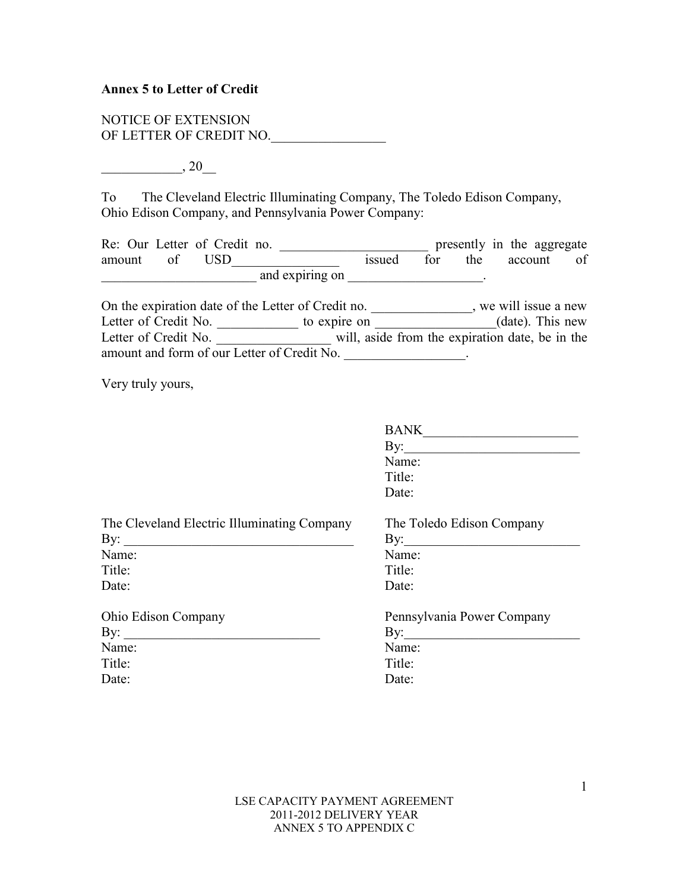#### **Annex 5 to Letter of Credit**

NOTICE OF EXTENSION OF LETTER OF CREDIT NO.

 $, 20$ 

To The Cleveland Electric Illuminating Company, The Toledo Edison Company, Ohio Edison Company, and Pennsylvania Power Company:

Re: Our Letter of Credit no. \_\_\_\_\_\_\_\_\_\_\_\_\_\_\_\_\_\_\_\_\_\_\_\_\_\_\_\_ presently in the aggregate amount of USD\_\_\_\_\_\_\_\_\_\_\_\_\_\_\_ issued for the account of  $\blacksquare$  and expiring on  $\blacksquare$ 

On the expiration date of the Letter of Credit no. \_\_\_\_\_\_\_\_\_\_\_\_\_, we will issue a new Letter of Credit No. \_\_\_\_\_\_\_\_\_\_\_\_\_\_ to expire on \_\_\_\_\_\_\_\_\_\_\_\_\_\_(date). This new Letter of Credit No. \_\_\_\_\_\_\_\_\_\_\_\_\_\_\_\_\_\_\_\_\_\_ will, aside from the expiration date, be in the amount and form of our Letter of Credit No. \_\_\_\_\_\_\_\_\_\_\_\_\_\_\_\_\_\_\_.

Very truly yours,

|                                             | <b>BANK</b>                |
|---------------------------------------------|----------------------------|
|                                             | By:                        |
|                                             | Name:                      |
|                                             | Title:                     |
|                                             | Date:                      |
| The Cleveland Electric Illuminating Company | The Toledo Edison Company  |
| By:                                         | By:                        |
| Name:                                       | Name:                      |
| Title:                                      | Title:                     |
| Date:                                       | Date:                      |
| <b>Ohio Edison Company</b>                  | Pennsylvania Power Company |
| By:                                         | By:                        |
| Name:                                       | Name:                      |
| Title:                                      | Title:                     |
| Date:                                       | Date:                      |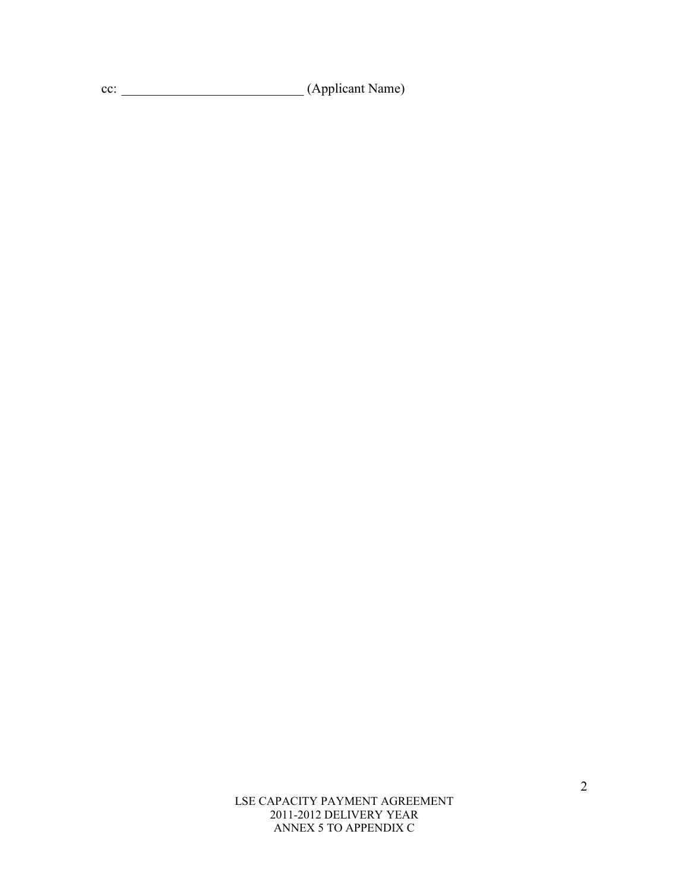cc: \_\_\_\_\_\_\_\_\_\_\_\_\_\_\_\_\_\_\_\_\_\_\_\_\_\_\_ (Applicant Name)

LSE CAPACITY PAYMENT AGREEMENT 2011-2012 DELIVERY YEAR ANNEX 5 TO APPENDIX C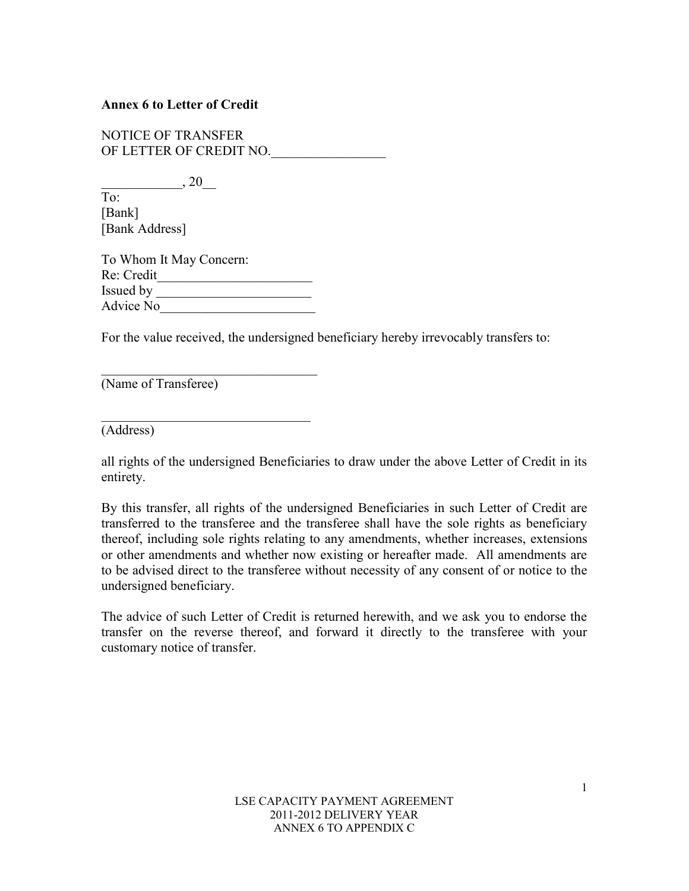## **Annex 6 to Letter of Credit**

NOTICE OF TRANSFER OF LETTER OF CREDIT NO.

 $, 20$ To: [Bank] [Bank Address]

To Whom It May Concern: Re: Credit\_\_\_\_\_\_\_\_\_\_\_\_\_\_\_\_\_\_\_\_\_\_\_ Issued by Advice No\_\_\_\_\_\_\_\_\_\_\_\_\_\_\_\_\_\_\_\_\_\_\_

 $\overline{\phantom{a}}$  , and the set of the set of the set of the set of the set of the set of the set of the set of the set of the set of the set of the set of the set of the set of the set of the set of the set of the set of the s

 $\mathcal{L}_\mathcal{L}$  , where  $\mathcal{L}_\mathcal{L}$  , we have the set of the set of the set of the set of the set of the set of the set of the set of the set of the set of the set of the set of the set of the set of the set of the set

For the value received, the undersigned beneficiary hereby irrevocably transfers to:

(Name of Transferee)

(Address)

all rights of the undersigned Beneficiaries to draw under the above Letter of Credit in its entirety.

By this transfer, all rights of the undersigned Beneficiaries in such Letter of Credit are transferred to the transferee and the transferee shall have the sole rights as beneficiary thereof, including sole rights relating to any amendments, whether increases, extensions or other amendments and whether now existing or hereafter made. All amendments are to be advised direct to the transferee without necessity of any consent of or notice to the undersigned beneficiary.

The advice of such Letter of Credit is returned herewith, and we ask you to endorse the transfer on the reverse thereof, and forward it directly to the transferee with your customary notice of transfer.